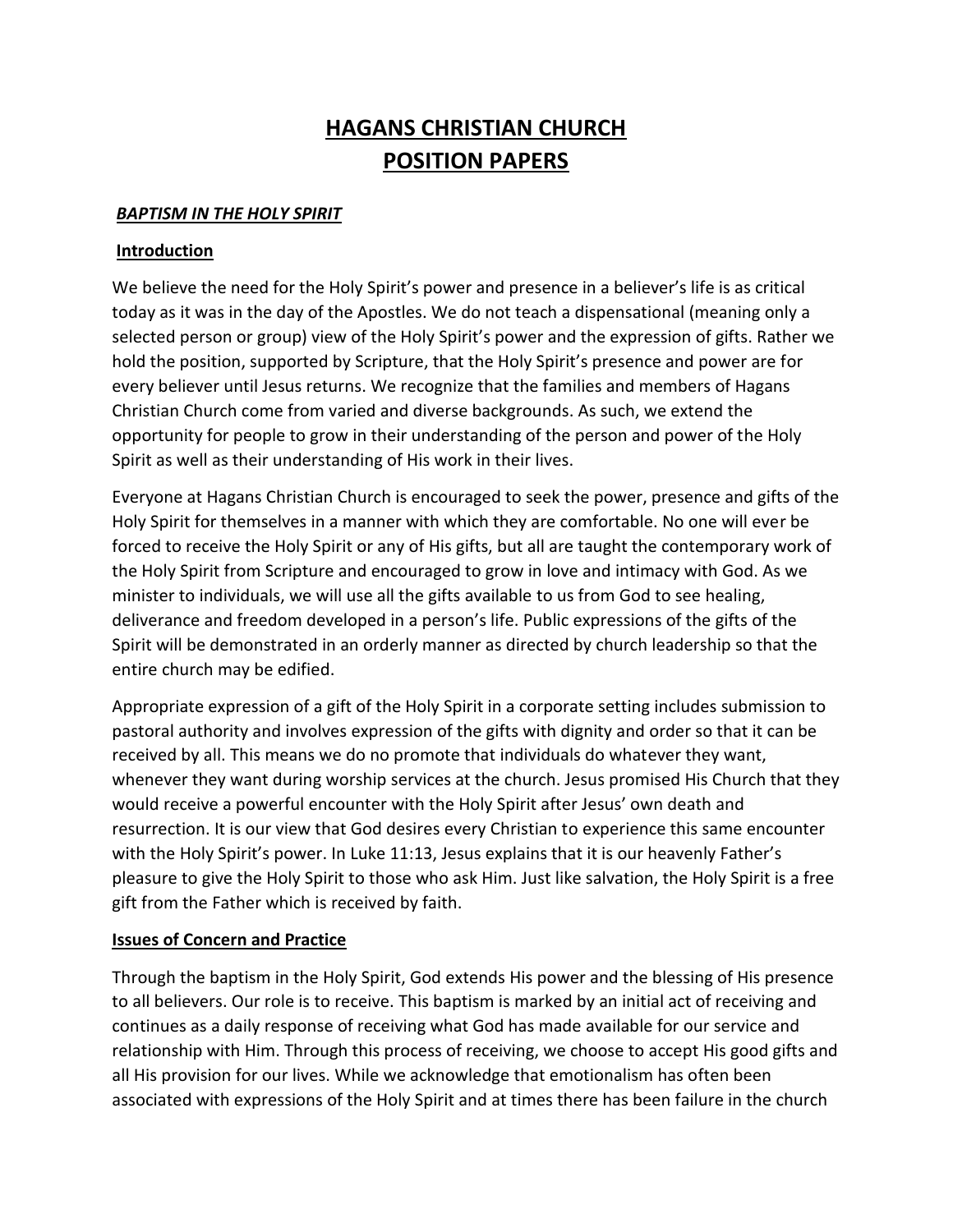# **HAGANS CHRISTIAN CHURCH POSITION PAPERS**

#### *BAPTISM IN THE HOLY SPIRIT*

#### **Introduction**

We believe the need for the Holy Spirit's power and presence in a believer's life is as critical today as it was in the day of the Apostles. We do not teach a dispensational (meaning only a selected person or group) view of the Holy Spirit's power and the expression of gifts. Rather we hold the position, supported by Scripture, that the Holy Spirit's presence and power are for every believer until Jesus returns. We recognize that the families and members of Hagans Christian Church come from varied and diverse backgrounds. As such, we extend the opportunity for people to grow in their understanding of the person and power of the Holy Spirit as well as their understanding of His work in their lives.

Everyone at Hagans Christian Church is encouraged to seek the power, presence and gifts of the Holy Spirit for themselves in a manner with which they are comfortable. No one will ever be forced to receive the Holy Spirit or any of His gifts, but all are taught the contemporary work of the Holy Spirit from Scripture and encouraged to grow in love and intimacy with God. As we minister to individuals, we will use all the gifts available to us from God to see healing, deliverance and freedom developed in a person's life. Public expressions of the gifts of the Spirit will be demonstrated in an orderly manner as directed by church leadership so that the entire church may be edified.

Appropriate expression of a gift of the Holy Spirit in a corporate setting includes submission to pastoral authority and involves expression of the gifts with dignity and order so that it can be received by all. This means we do no promote that individuals do whatever they want, whenever they want during worship services at the church. Jesus promised His Church that they would receive a powerful encounter with the Holy Spirit after Jesus' own death and resurrection. It is our view that God desires every Christian to experience this same encounter with the Holy Spirit's power. In Luke 11:13, Jesus explains that it is our heavenly Father's pleasure to give the Holy Spirit to those who ask Him. Just like salvation, the Holy Spirit is a free gift from the Father which is received by faith.

#### **Issues of Concern and Practice**

Through the baptism in the Holy Spirit, God extends His power and the blessing of His presence to all believers. Our role is to receive. This baptism is marked by an initial act of receiving and continues as a daily response of receiving what God has made available for our service and relationship with Him. Through this process of receiving, we choose to accept His good gifts and all His provision for our lives. While we acknowledge that emotionalism has often been associated with expressions of the Holy Spirit and at times there has been failure in the church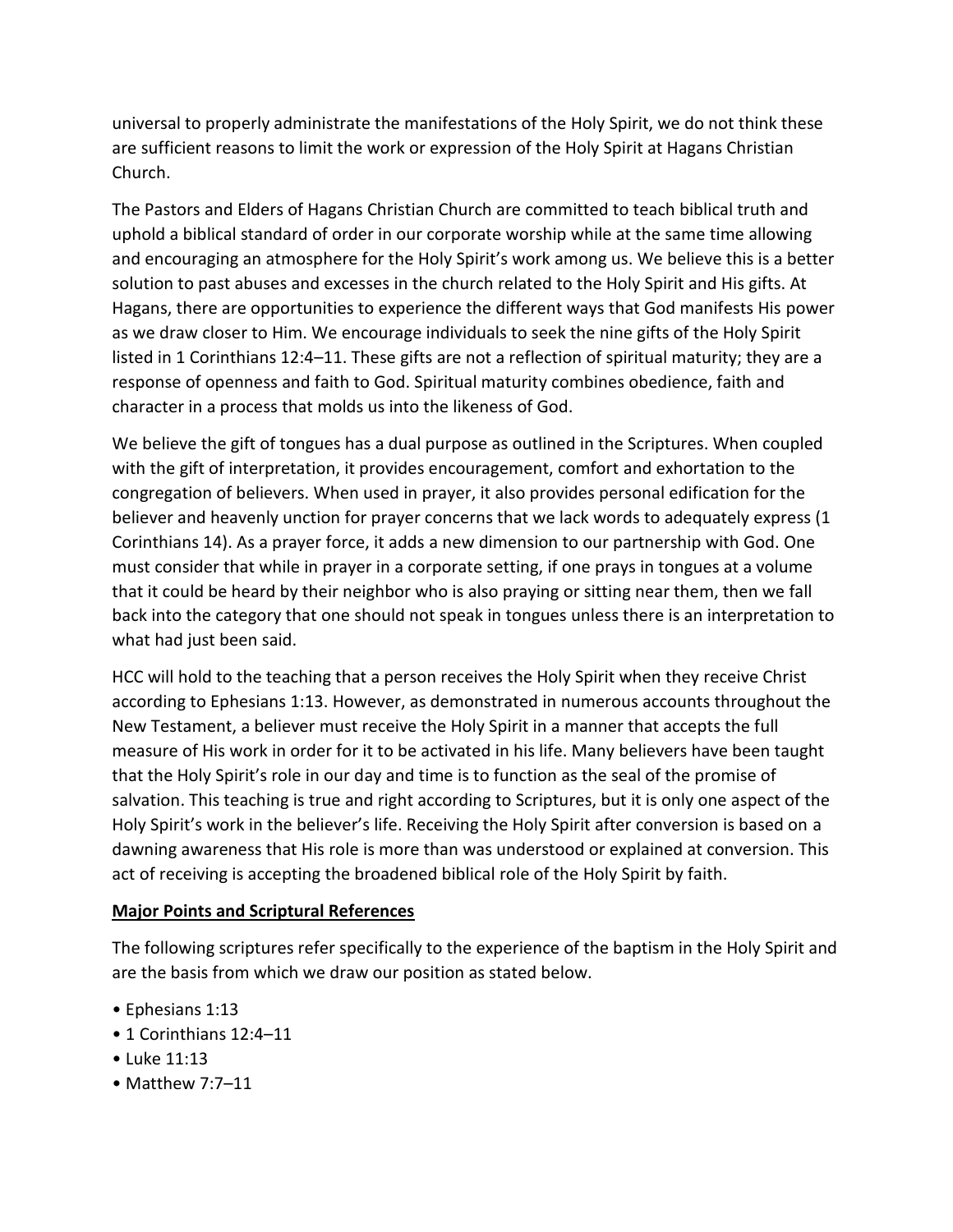universal to properly administrate the manifestations of the Holy Spirit, we do not think these are sufficient reasons to limit the work or expression of the Holy Spirit at Hagans Christian Church.

The Pastors and Elders of Hagans Christian Church are committed to teach biblical truth and uphold a biblical standard of order in our corporate worship while at the same time allowing and encouraging an atmosphere for the Holy Spirit's work among us. We believe this is a better solution to past abuses and excesses in the church related to the Holy Spirit and His gifts. At Hagans, there are opportunities to experience the different ways that God manifests His power as we draw closer to Him. We encourage individuals to seek the nine gifts of the Holy Spirit listed in 1 Corinthians 12:4–11. These gifts are not a reflection of spiritual maturity; they are a response of openness and faith to God. Spiritual maturity combines obedience, faith and character in a process that molds us into the likeness of God.

We believe the gift of tongues has a dual purpose as outlined in the Scriptures. When coupled with the gift of interpretation, it provides encouragement, comfort and exhortation to the congregation of believers. When used in prayer, it also provides personal edification for the believer and heavenly unction for prayer concerns that we lack words to adequately express (1 Corinthians 14). As a prayer force, it adds a new dimension to our partnership with God. One must consider that while in prayer in a corporate setting, if one prays in tongues at a volume that it could be heard by their neighbor who is also praying or sitting near them, then we fall back into the category that one should not speak in tongues unless there is an interpretation to what had just been said.

HCC will hold to the teaching that a person receives the Holy Spirit when they receive Christ according to Ephesians 1:13. However, as demonstrated in numerous accounts throughout the New Testament, a believer must receive the Holy Spirit in a manner that accepts the full measure of His work in order for it to be activated in his life. Many believers have been taught that the Holy Spirit's role in our day and time is to function as the seal of the promise of salvation. This teaching is true and right according to Scriptures, but it is only one aspect of the Holy Spirit's work in the believer's life. Receiving the Holy Spirit after conversion is based on a dawning awareness that His role is more than was understood or explained at conversion. This act of receiving is accepting the broadened biblical role of the Holy Spirit by faith.

## **Major Points and Scriptural References**

The following scriptures refer specifically to the experience of the baptism in the Holy Spirit and are the basis from which we draw our position as stated below.

- Ephesians 1:13
- 1 Corinthians 12:4–11
- Luke 11:13
- Matthew 7:7–11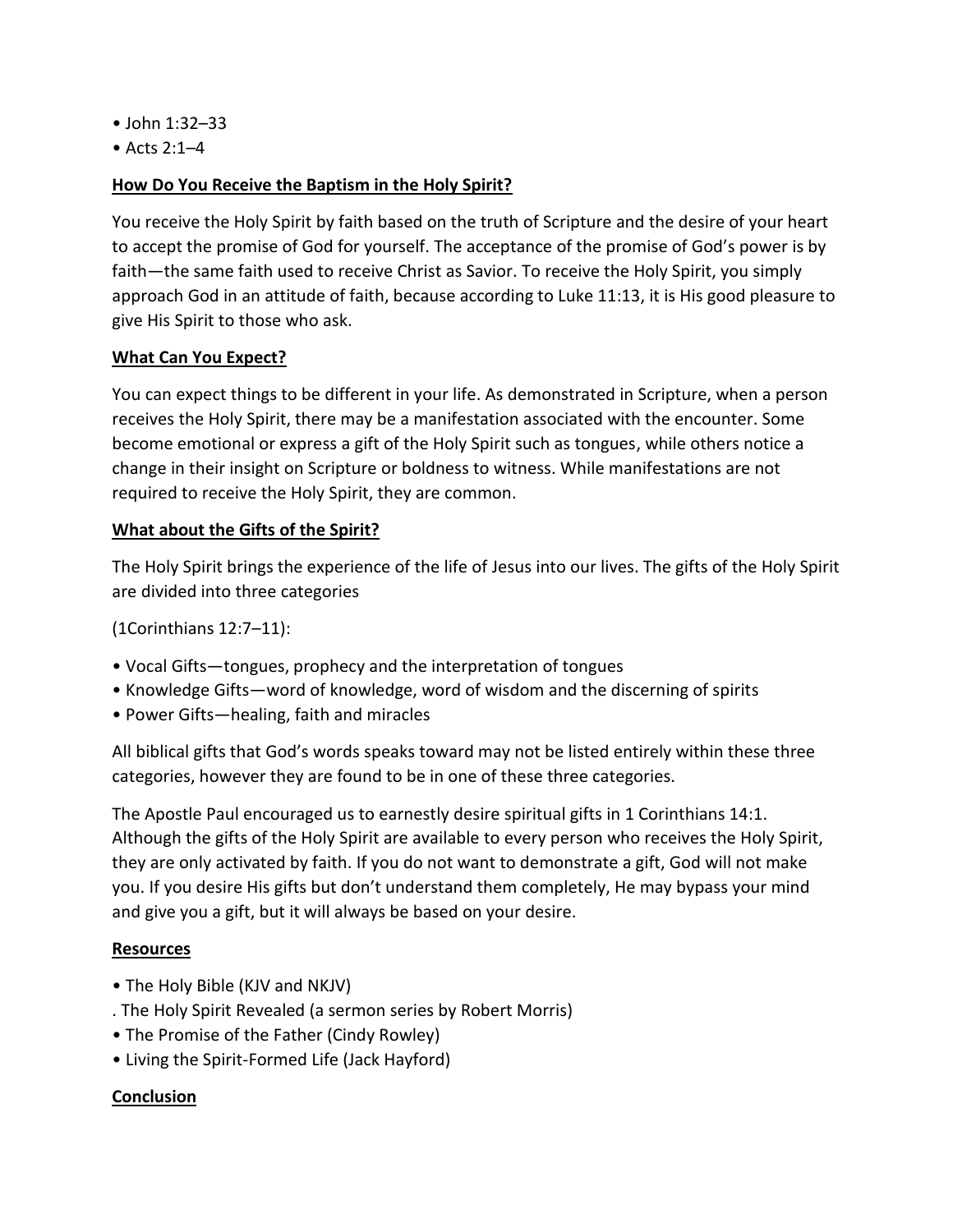- John 1:32–33
- Acts 2:1–4

## **How Do You Receive the Baptism in the Holy Spirit?**

You receive the Holy Spirit by faith based on the truth of Scripture and the desire of your heart to accept the promise of God for yourself. The acceptance of the promise of God's power is by faith—the same faith used to receive Christ as Savior. To receive the Holy Spirit, you simply approach God in an attitude of faith, because according to Luke 11:13, it is His good pleasure to give His Spirit to those who ask.

## **What Can You Expect?**

You can expect things to be different in your life. As demonstrated in Scripture, when a person receives the Holy Spirit, there may be a manifestation associated with the encounter. Some become emotional or express a gift of the Holy Spirit such as tongues, while others notice a change in their insight on Scripture or boldness to witness. While manifestations are not required to receive the Holy Spirit, they are common.

## **What about the Gifts of the Spirit?**

The Holy Spirit brings the experience of the life of Jesus into our lives. The gifts of the Holy Spirit are divided into three categories

(1Corinthians 12:7–11):

- Vocal Gifts—tongues, prophecy and the interpretation of tongues
- Knowledge Gifts—word of knowledge, word of wisdom and the discerning of spirits
- Power Gifts—healing, faith and miracles

All biblical gifts that God's words speaks toward may not be listed entirely within these three categories, however they are found to be in one of these three categories.

The Apostle Paul encouraged us to earnestly desire spiritual gifts in 1 Corinthians 14:1. Although the gifts of the Holy Spirit are available to every person who receives the Holy Spirit, they are only activated by faith. If you do not want to demonstrate a gift, God will not make you. If you desire His gifts but don't understand them completely, He may bypass your mind and give you a gift, but it will always be based on your desire.

## **Resources**

- The Holy Bible (KJV and NKJV)
- . The Holy Spirit Revealed (a sermon series by Robert Morris)
- The Promise of the Father (Cindy Rowley)
- Living the Spirit-Formed Life (Jack Hayford)

## **Conclusion**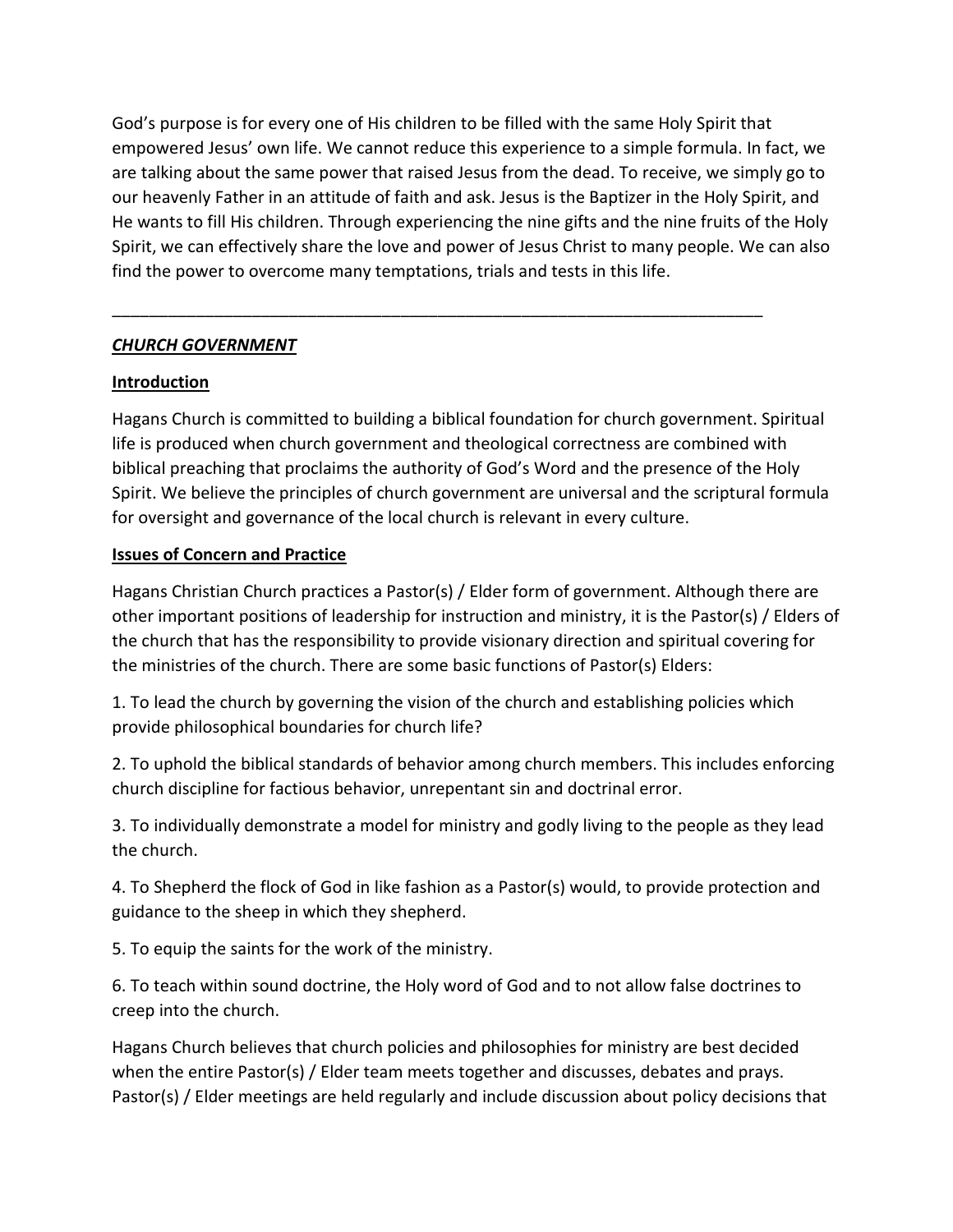God's purpose is for every one of His children to be filled with the same Holy Spirit that empowered Jesus' own life. We cannot reduce this experience to a simple formula. In fact, we are talking about the same power that raised Jesus from the dead. To receive, we simply go to our heavenly Father in an attitude of faith and ask. Jesus is the Baptizer in the Holy Spirit, and He wants to fill His children. Through experiencing the nine gifts and the nine fruits of the Holy Spirit, we can effectively share the love and power of Jesus Christ to many people. We can also find the power to overcome many temptations, trials and tests in this life.

\_\_\_\_\_\_\_\_\_\_\_\_\_\_\_\_\_\_\_\_\_\_\_\_\_\_\_\_\_\_\_\_\_\_\_\_\_\_\_\_\_\_\_\_\_\_\_\_\_\_\_\_\_\_\_\_\_\_\_\_\_\_\_\_\_\_\_\_\_\_

## *CHURCH GOVERNMENT*

## **Introduction**

Hagans Church is committed to building a biblical foundation for church government. Spiritual life is produced when church government and theological correctness are combined with biblical preaching that proclaims the authority of God's Word and the presence of the Holy Spirit. We believe the principles of church government are universal and the scriptural formula for oversight and governance of the local church is relevant in every culture.

## **Issues of Concern and Practice**

Hagans Christian Church practices a Pastor(s) / Elder form of government. Although there are other important positions of leadership for instruction and ministry, it is the Pastor(s) / Elders of the church that has the responsibility to provide visionary direction and spiritual covering for the ministries of the church. There are some basic functions of Pastor(s) Elders:

1. To lead the church by governing the vision of the church and establishing policies which provide philosophical boundaries for church life?

2. To uphold the biblical standards of behavior among church members. This includes enforcing church discipline for factious behavior, unrepentant sin and doctrinal error.

3. To individually demonstrate a model for ministry and godly living to the people as they lead the church.

4. To Shepherd the flock of God in like fashion as a Pastor(s) would, to provide protection and guidance to the sheep in which they shepherd.

5. To equip the saints for the work of the ministry.

6. To teach within sound doctrine, the Holy word of God and to not allow false doctrines to creep into the church.

Hagans Church believes that church policies and philosophies for ministry are best decided when the entire Pastor(s) / Elder team meets together and discusses, debates and prays. Pastor(s) / Elder meetings are held regularly and include discussion about policy decisions that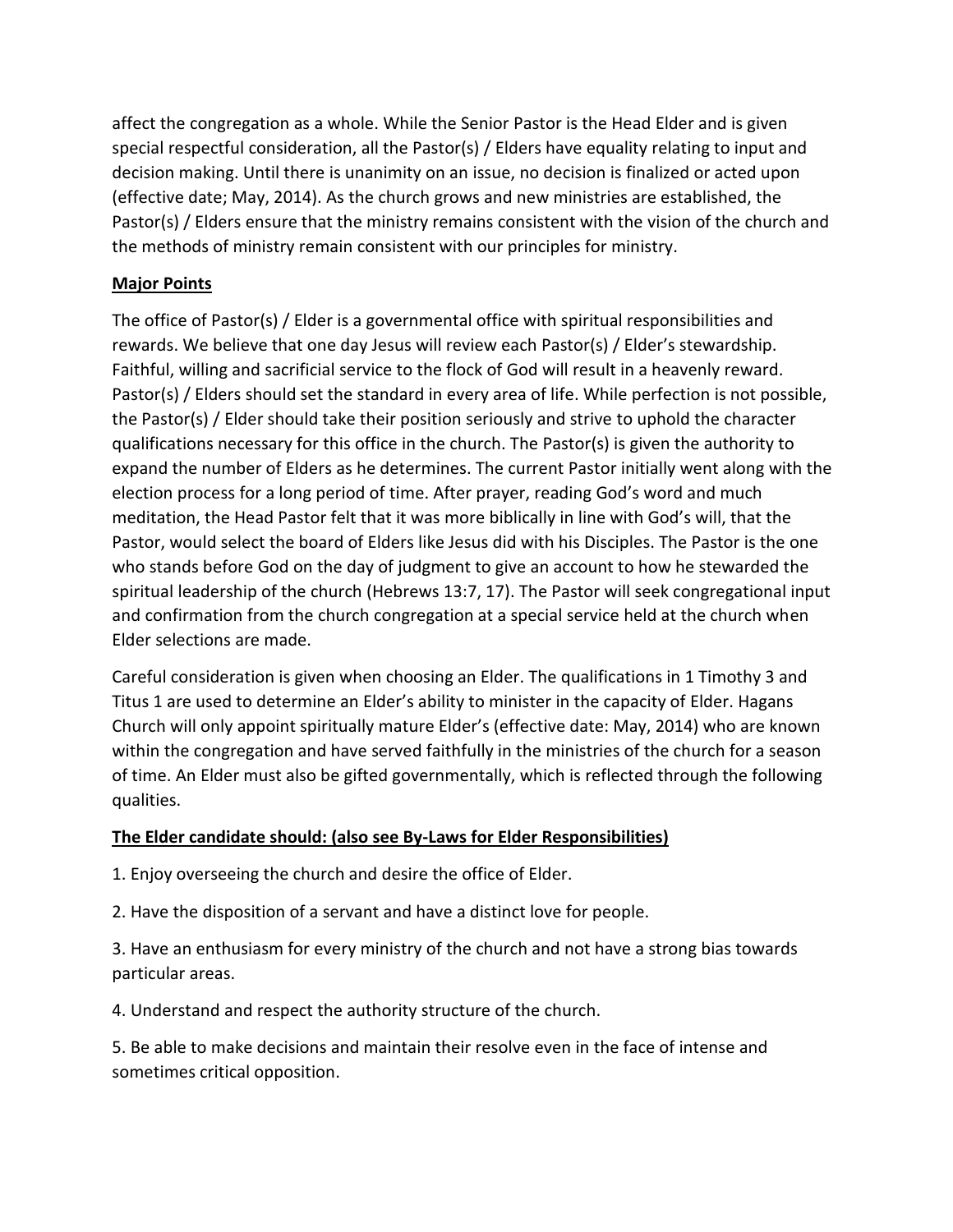affect the congregation as a whole. While the Senior Pastor is the Head Elder and is given special respectful consideration, all the Pastor(s) / Elders have equality relating to input and decision making. Until there is unanimity on an issue, no decision is finalized or acted upon (effective date; May, 2014). As the church grows and new ministries are established, the Pastor(s) / Elders ensure that the ministry remains consistent with the vision of the church and the methods of ministry remain consistent with our principles for ministry.

## **Major Points**

The office of Pastor(s) / Elder is a governmental office with spiritual responsibilities and rewards. We believe that one day Jesus will review each Pastor(s) / Elder's stewardship. Faithful, willing and sacrificial service to the flock of God will result in a heavenly reward. Pastor(s) / Elders should set the standard in every area of life. While perfection is not possible, the Pastor(s) / Elder should take their position seriously and strive to uphold the character qualifications necessary for this office in the church. The Pastor(s) is given the authority to expand the number of Elders as he determines. The current Pastor initially went along with the election process for a long period of time. After prayer, reading God's word and much meditation, the Head Pastor felt that it was more biblically in line with God's will, that the Pastor, would select the board of Elders like Jesus did with his Disciples. The Pastor is the one who stands before God on the day of judgment to give an account to how he stewarded the spiritual leadership of the church (Hebrews 13:7, 17). The Pastor will seek congregational input and confirmation from the church congregation at a special service held at the church when Elder selections are made.

Careful consideration is given when choosing an Elder. The qualifications in 1 Timothy 3 and Titus 1 are used to determine an Elder's ability to minister in the capacity of Elder. Hagans Church will only appoint spiritually mature Elder's (effective date: May, 2014) who are known within the congregation and have served faithfully in the ministries of the church for a season of time. An Elder must also be gifted governmentally, which is reflected through the following qualities.

## **The Elder candidate should: (also see By-Laws for Elder Responsibilities)**

1. Enjoy overseeing the church and desire the office of Elder.

2. Have the disposition of a servant and have a distinct love for people.

3. Have an enthusiasm for every ministry of the church and not have a strong bias towards particular areas.

4. Understand and respect the authority structure of the church.

5. Be able to make decisions and maintain their resolve even in the face of intense and sometimes critical opposition.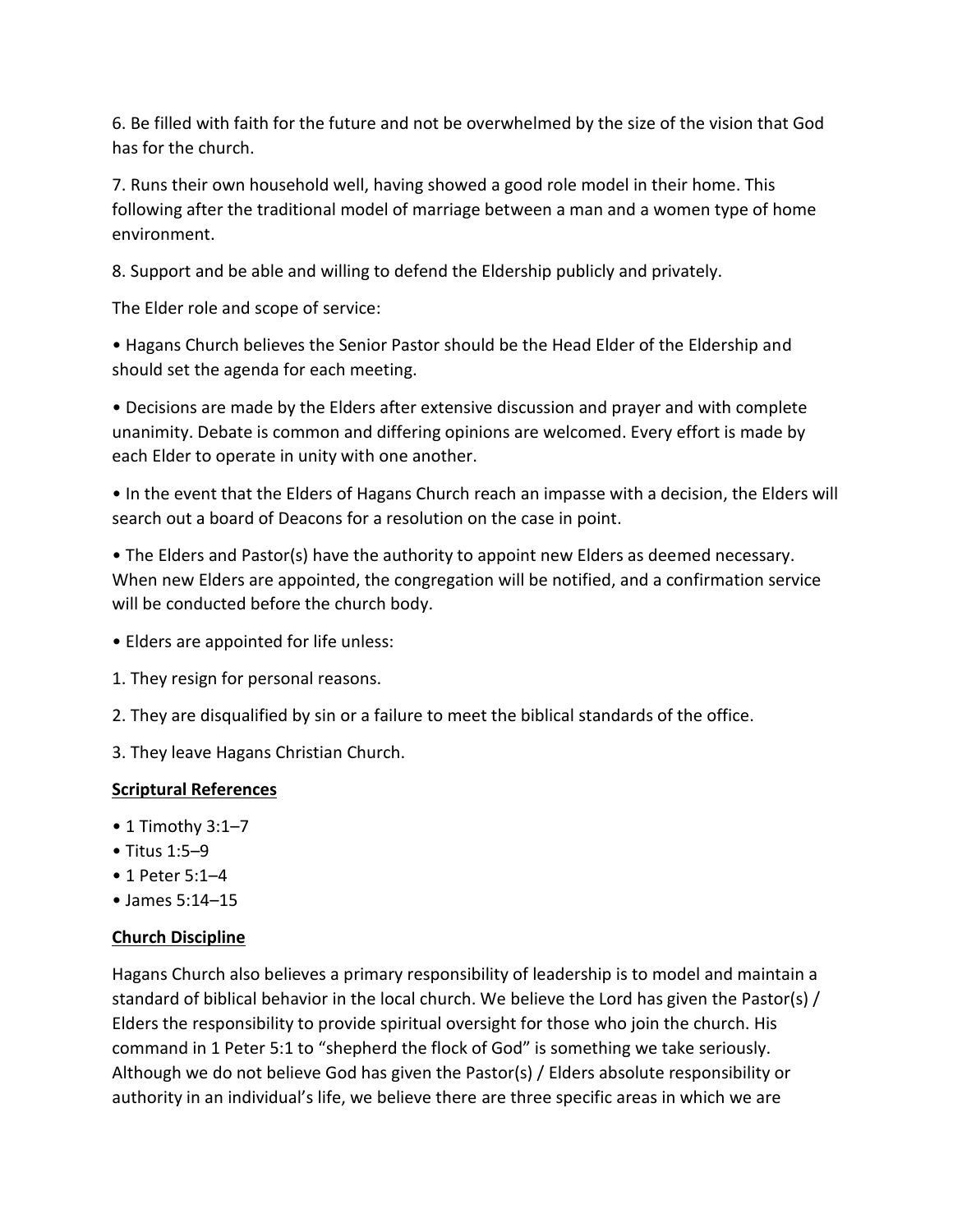6. Be filled with faith for the future and not be overwhelmed by the size of the vision that God has for the church.

7. Runs their own household well, having showed a good role model in their home. This following after the traditional model of marriage between a man and a women type of home environment.

8. Support and be able and willing to defend the Eldership publicly and privately.

The Elder role and scope of service:

• Hagans Church believes the Senior Pastor should be the Head Elder of the Eldership and should set the agenda for each meeting.

• Decisions are made by the Elders after extensive discussion and prayer and with complete unanimity. Debate is common and differing opinions are welcomed. Every effort is made by each Elder to operate in unity with one another.

• In the event that the Elders of Hagans Church reach an impasse with a decision, the Elders will search out a board of Deacons for a resolution on the case in point.

• The Elders and Pastor(s) have the authority to appoint new Elders as deemed necessary. When new Elders are appointed, the congregation will be notified, and a confirmation service will be conducted before the church body.

- Elders are appointed for life unless:
- 1. They resign for personal reasons.

2. They are disqualified by sin or a failure to meet the biblical standards of the office.

3. They leave Hagans Christian Church.

## **Scriptural References**

- 1 Timothy 3:1–7
- Titus 1:5–9
- 1 Peter 5:1–4
- James 5:14–15

## **Church Discipline**

Hagans Church also believes a primary responsibility of leadership is to model and maintain a standard of biblical behavior in the local church. We believe the Lord has given the Pastor(s) / Elders the responsibility to provide spiritual oversight for those who join the church. His command in 1 Peter 5:1 to "shepherd the flock of God" is something we take seriously. Although we do not believe God has given the Pastor(s) / Elders absolute responsibility or authority in an individual's life, we believe there are three specific areas in which we are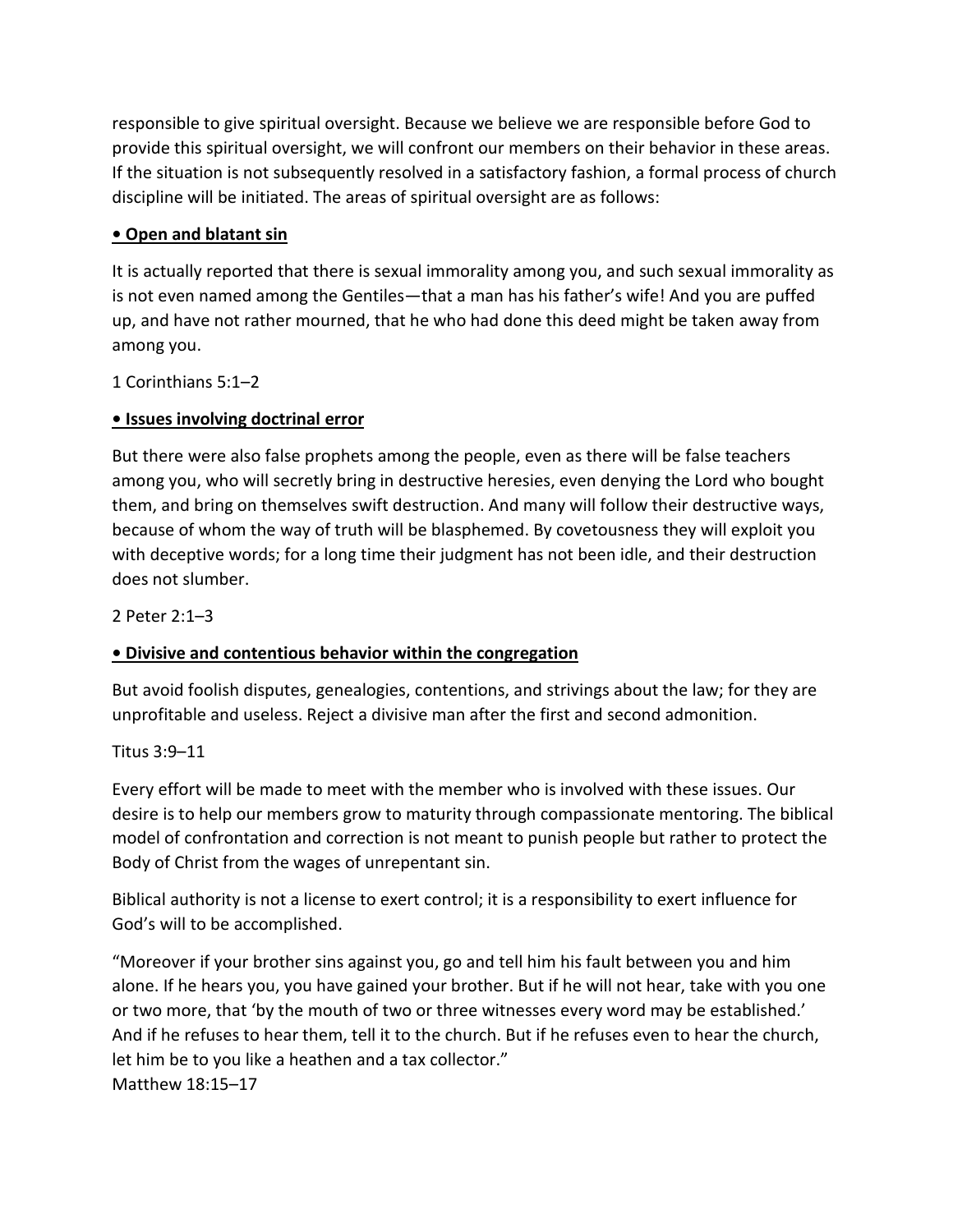responsible to give spiritual oversight. Because we believe we are responsible before God to provide this spiritual oversight, we will confront our members on their behavior in these areas. If the situation is not subsequently resolved in a satisfactory fashion, a formal process of church discipline will be initiated. The areas of spiritual oversight are as follows:

## **• Open and blatant sin**

It is actually reported that there is sexual immorality among you, and such sexual immorality as is not even named among the Gentiles—that a man has his father's wife! And you are puffed up, and have not rather mourned, that he who had done this deed might be taken away from among you.

1 Corinthians 5:1–2

## **• Issues involving doctrinal error**

But there were also false prophets among the people, even as there will be false teachers among you, who will secretly bring in destructive heresies, even denying the Lord who bought them, and bring on themselves swift destruction. And many will follow their destructive ways, because of whom the way of truth will be blasphemed. By covetousness they will exploit you with deceptive words; for a long time their judgment has not been idle, and their destruction does not slumber.

2 Peter 2:1–3

## **• Divisive and contentious behavior within the congregation**

But avoid foolish disputes, genealogies, contentions, and strivings about the law; for they are unprofitable and useless. Reject a divisive man after the first and second admonition.

## Titus 3:9–11

Every effort will be made to meet with the member who is involved with these issues. Our desire is to help our members grow to maturity through compassionate mentoring. The biblical model of confrontation and correction is not meant to punish people but rather to protect the Body of Christ from the wages of unrepentant sin.

Biblical authority is not a license to exert control; it is a responsibility to exert influence for God's will to be accomplished.

"Moreover if your brother sins against you, go and tell him his fault between you and him alone. If he hears you, you have gained your brother. But if he will not hear, take with you one or two more, that 'by the mouth of two or three witnesses every word may be established.' And if he refuses to hear them, tell it to the church. But if he refuses even to hear the church, let him be to you like a heathen and a tax collector." Matthew 18:15–17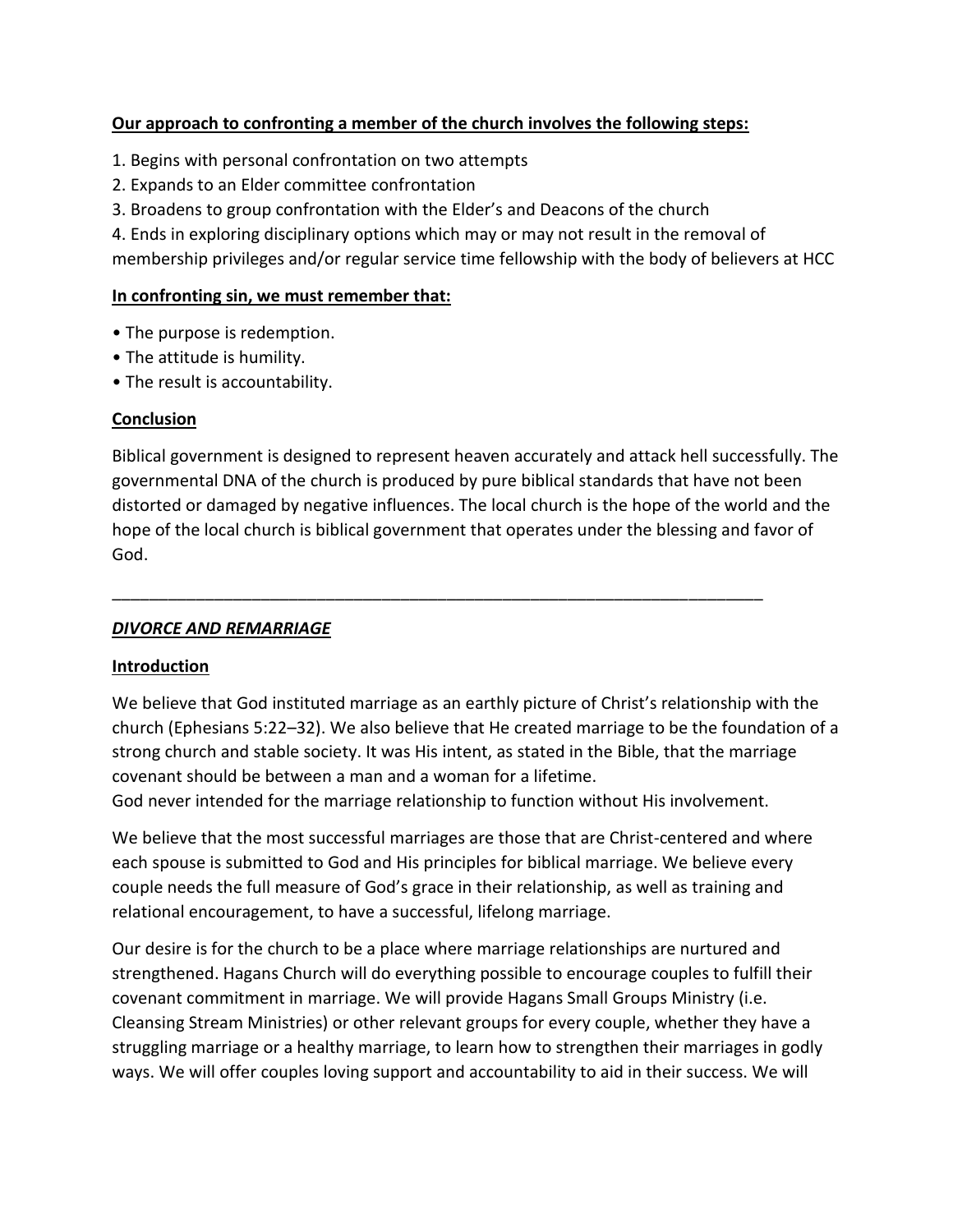#### **Our approach to confronting a member of the church involves the following steps:**

- 1. Begins with personal confrontation on two attempts
- 2. Expands to an Elder committee confrontation
- 3. Broadens to group confrontation with the Elder's and Deacons of the church

4. Ends in exploring disciplinary options which may or may not result in the removal of

membership privileges and/or regular service time fellowship with the body of believers at HCC

#### **In confronting sin, we must remember that:**

- The purpose is redemption.
- The attitude is humility.
- The result is accountability.

#### **Conclusion**

Biblical government is designed to represent heaven accurately and attack hell successfully. The governmental DNA of the church is produced by pure biblical standards that have not been distorted or damaged by negative influences. The local church is the hope of the world and the hope of the local church is biblical government that operates under the blessing and favor of God.

## *DIVORCE AND REMARRIAGE*

## **Introduction**

We believe that God instituted marriage as an earthly picture of Christ's relationship with the church (Ephesians 5:22–32). We also believe that He created marriage to be the foundation of a strong church and stable society. It was His intent, as stated in the Bible, that the marriage covenant should be between a man and a woman for a lifetime.

God never intended for the marriage relationship to function without His involvement.

\_\_\_\_\_\_\_\_\_\_\_\_\_\_\_\_\_\_\_\_\_\_\_\_\_\_\_\_\_\_\_\_\_\_\_\_\_\_\_\_\_\_\_\_\_\_\_\_\_\_\_\_\_\_\_\_\_\_\_\_\_\_\_\_\_\_\_\_\_\_

We believe that the most successful marriages are those that are Christ-centered and where each spouse is submitted to God and His principles for biblical marriage. We believe every couple needs the full measure of God's grace in their relationship, as well as training and relational encouragement, to have a successful, lifelong marriage.

Our desire is for the church to be a place where marriage relationships are nurtured and strengthened. Hagans Church will do everything possible to encourage couples to fulfill their covenant commitment in marriage. We will provide Hagans Small Groups Ministry (i.e. Cleansing Stream Ministries) or other relevant groups for every couple, whether they have a struggling marriage or a healthy marriage, to learn how to strengthen their marriages in godly ways. We will offer couples loving support and accountability to aid in their success. We will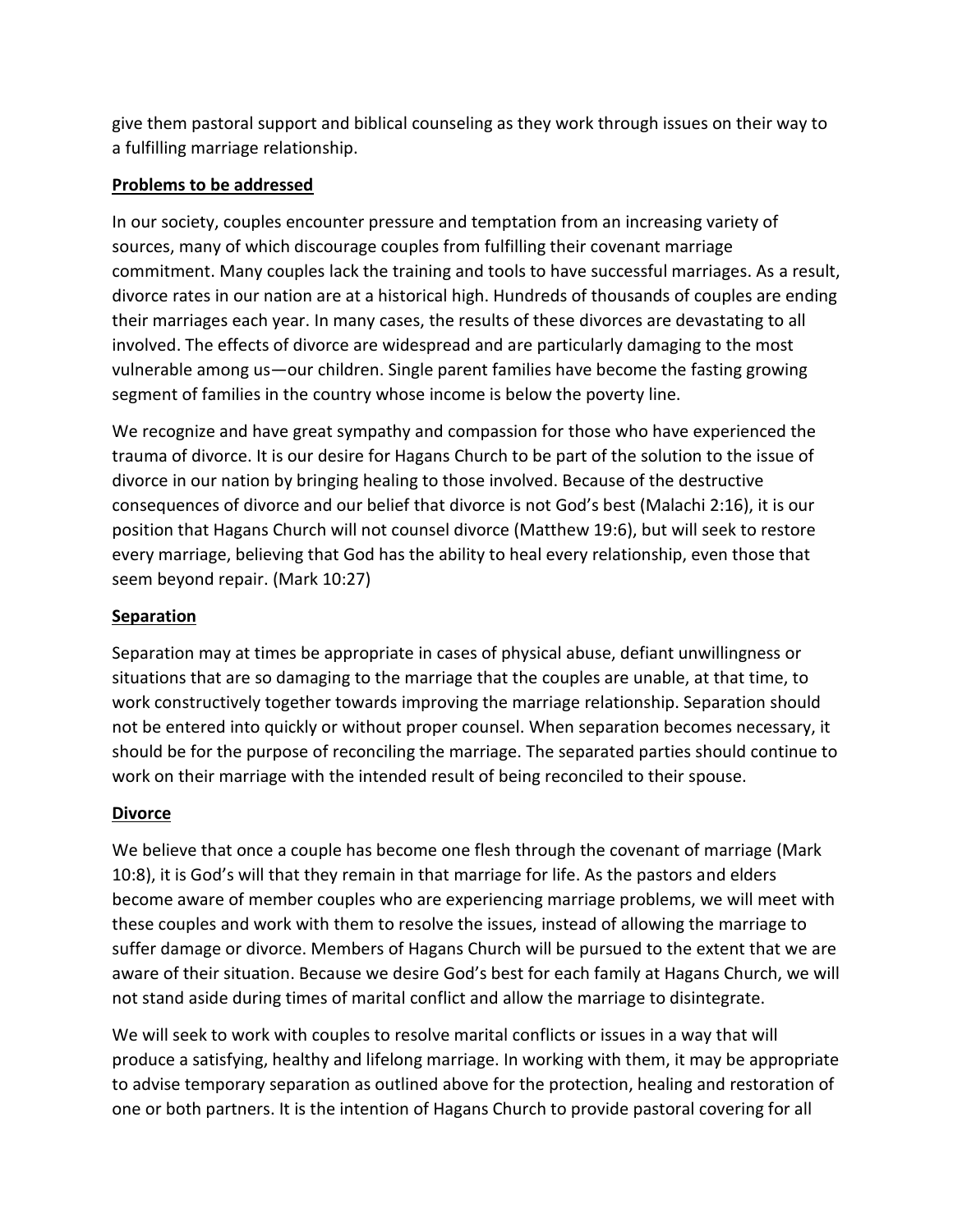give them pastoral support and biblical counseling as they work through issues on their way to a fulfilling marriage relationship.

## **Problems to be addressed**

In our society, couples encounter pressure and temptation from an increasing variety of sources, many of which discourage couples from fulfilling their covenant marriage commitment. Many couples lack the training and tools to have successful marriages. As a result, divorce rates in our nation are at a historical high. Hundreds of thousands of couples are ending their marriages each year. In many cases, the results of these divorces are devastating to all involved. The effects of divorce are widespread and are particularly damaging to the most vulnerable among us—our children. Single parent families have become the fasting growing segment of families in the country whose income is below the poverty line.

We recognize and have great sympathy and compassion for those who have experienced the trauma of divorce. It is our desire for Hagans Church to be part of the solution to the issue of divorce in our nation by bringing healing to those involved. Because of the destructive consequences of divorce and our belief that divorce is not God's best (Malachi 2:16), it is our position that Hagans Church will not counsel divorce (Matthew 19:6), but will seek to restore every marriage, believing that God has the ability to heal every relationship, even those that seem beyond repair. (Mark 10:27)

## **Separation**

Separation may at times be appropriate in cases of physical abuse, defiant unwillingness or situations that are so damaging to the marriage that the couples are unable, at that time, to work constructively together towards improving the marriage relationship. Separation should not be entered into quickly or without proper counsel. When separation becomes necessary, it should be for the purpose of reconciling the marriage. The separated parties should continue to work on their marriage with the intended result of being reconciled to their spouse.

## **Divorce**

We believe that once a couple has become one flesh through the covenant of marriage (Mark 10:8), it is God's will that they remain in that marriage for life. As the pastors and elders become aware of member couples who are experiencing marriage problems, we will meet with these couples and work with them to resolve the issues, instead of allowing the marriage to suffer damage or divorce. Members of Hagans Church will be pursued to the extent that we are aware of their situation. Because we desire God's best for each family at Hagans Church, we will not stand aside during times of marital conflict and allow the marriage to disintegrate.

We will seek to work with couples to resolve marital conflicts or issues in a way that will produce a satisfying, healthy and lifelong marriage. In working with them, it may be appropriate to advise temporary separation as outlined above for the protection, healing and restoration of one or both partners. It is the intention of Hagans Church to provide pastoral covering for all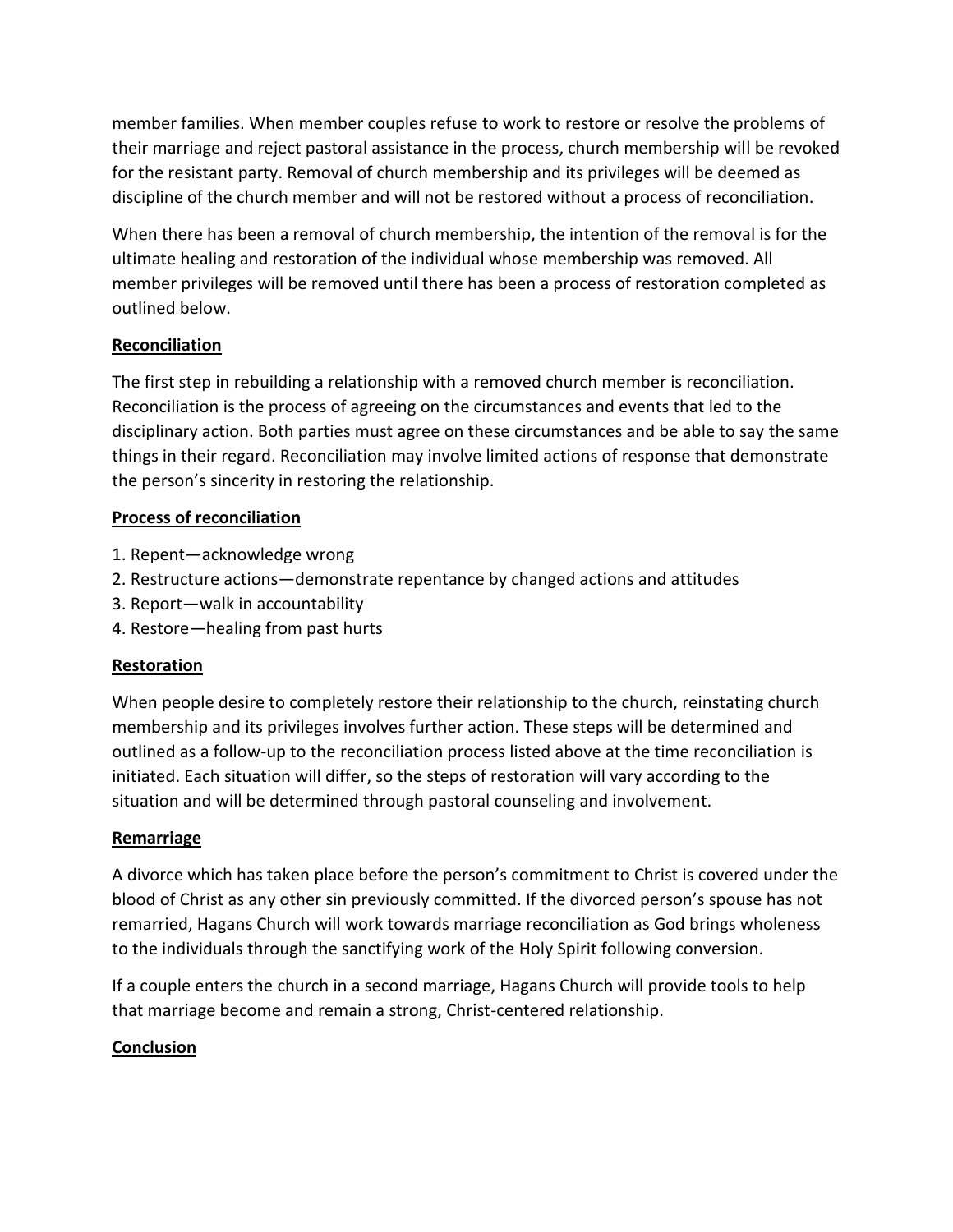member families. When member couples refuse to work to restore or resolve the problems of their marriage and reject pastoral assistance in the process, church membership will be revoked for the resistant party. Removal of church membership and its privileges will be deemed as discipline of the church member and will not be restored without a process of reconciliation.

When there has been a removal of church membership, the intention of the removal is for the ultimate healing and restoration of the individual whose membership was removed. All member privileges will be removed until there has been a process of restoration completed as outlined below.

## **Reconciliation**

The first step in rebuilding a relationship with a removed church member is reconciliation. Reconciliation is the process of agreeing on the circumstances and events that led to the disciplinary action. Both parties must agree on these circumstances and be able to say the same things in their regard. Reconciliation may involve limited actions of response that demonstrate the person's sincerity in restoring the relationship.

## **Process of reconciliation**

- 1. Repent—acknowledge wrong
- 2. Restructure actions—demonstrate repentance by changed actions and attitudes
- 3. Report—walk in accountability
- 4. Restore—healing from past hurts

## **Restoration**

When people desire to completely restore their relationship to the church, reinstating church membership and its privileges involves further action. These steps will be determined and outlined as a follow-up to the reconciliation process listed above at the time reconciliation is initiated. Each situation will differ, so the steps of restoration will vary according to the situation and will be determined through pastoral counseling and involvement.

## **Remarriage**

A divorce which has taken place before the person's commitment to Christ is covered under the blood of Christ as any other sin previously committed. If the divorced person's spouse has not remarried, Hagans Church will work towards marriage reconciliation as God brings wholeness to the individuals through the sanctifying work of the Holy Spirit following conversion.

If a couple enters the church in a second marriage, Hagans Church will provide tools to help that marriage become and remain a strong, Christ-centered relationship.

## **Conclusion**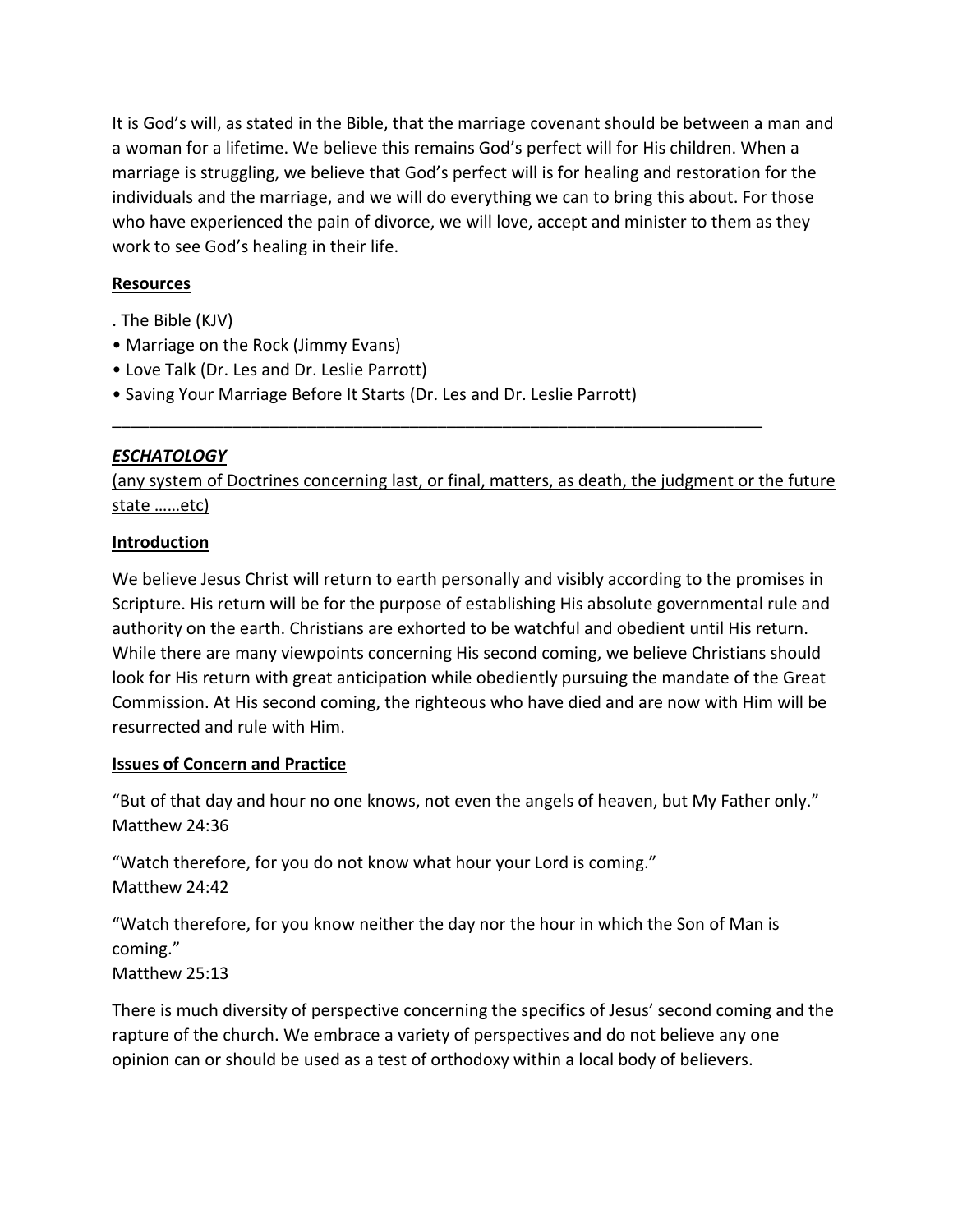It is God's will, as stated in the Bible, that the marriage covenant should be between a man and a woman for a lifetime. We believe this remains God's perfect will for His children. When a marriage is struggling, we believe that God's perfect will is for healing and restoration for the individuals and the marriage, and we will do everything we can to bring this about. For those who have experienced the pain of divorce, we will love, accept and minister to them as they work to see God's healing in their life.

## **Resources**

- . The Bible (KJV)
- Marriage on the Rock (Jimmy Evans)
- Love Talk (Dr. Les and Dr. Leslie Parrott)
- Saving Your Marriage Before It Starts (Dr. Les and Dr. Leslie Parrott)

## *ESCHATOLOGY*

(any system of Doctrines concerning last, or final, matters, as death, the judgment or the future state ……etc)

\_\_\_\_\_\_\_\_\_\_\_\_\_\_\_\_\_\_\_\_\_\_\_\_\_\_\_\_\_\_\_\_\_\_\_\_\_\_\_\_\_\_\_\_\_\_\_\_\_\_\_\_\_\_\_\_\_\_\_\_\_\_\_\_\_\_\_\_\_\_

## **Introduction**

We believe Jesus Christ will return to earth personally and visibly according to the promises in Scripture. His return will be for the purpose of establishing His absolute governmental rule and authority on the earth. Christians are exhorted to be watchful and obedient until His return. While there are many viewpoints concerning His second coming, we believe Christians should look for His return with great anticipation while obediently pursuing the mandate of the Great Commission. At His second coming, the righteous who have died and are now with Him will be resurrected and rule with Him.

## **Issues of Concern and Practice**

"But of that day and hour no one knows, not even the angels of heaven, but My Father only." Matthew 24:36

"Watch therefore, for you do not know what hour your Lord is coming." Matthew 24:42

"Watch therefore, for you know neither the day nor the hour in which the Son of Man is coming." Matthew 25:13

There is much diversity of perspective concerning the specifics of Jesus' second coming and the rapture of the church. We embrace a variety of perspectives and do not believe any one opinion can or should be used as a test of orthodoxy within a local body of believers.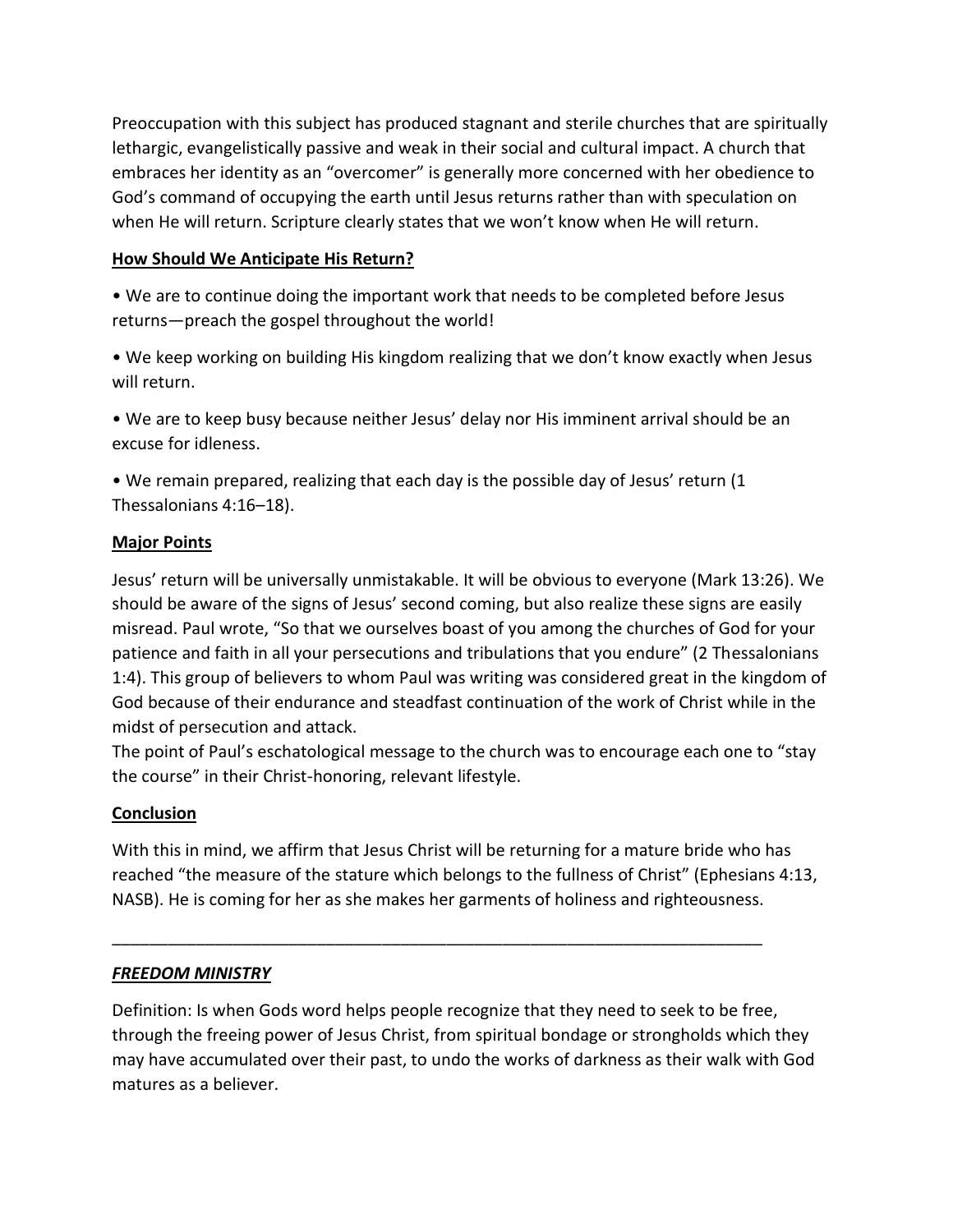Preoccupation with this subject has produced stagnant and sterile churches that are spiritually lethargic, evangelistically passive and weak in their social and cultural impact. A church that embraces her identity as an "overcomer" is generally more concerned with her obedience to God's command of occupying the earth until Jesus returns rather than with speculation on when He will return. Scripture clearly states that we won't know when He will return.

#### **How Should We Anticipate His Return?**

• We are to continue doing the important work that needs to be completed before Jesus returns—preach the gospel throughout the world!

• We keep working on building His kingdom realizing that we don't know exactly when Jesus will return.

• We are to keep busy because neither Jesus' delay nor His imminent arrival should be an excuse for idleness.

• We remain prepared, realizing that each day is the possible day of Jesus' return (1 Thessalonians 4:16–18).

## **Major Points**

Jesus' return will be universally unmistakable. It will be obvious to everyone (Mark 13:26). We should be aware of the signs of Jesus' second coming, but also realize these signs are easily misread. Paul wrote, "So that we ourselves boast of you among the churches of God for your patience and faith in all your persecutions and tribulations that you endure" (2 Thessalonians 1:4). This group of believers to whom Paul was writing was considered great in the kingdom of God because of their endurance and steadfast continuation of the work of Christ while in the midst of persecution and attack.

The point of Paul's eschatological message to the church was to encourage each one to "stay the course" in their Christ-honoring, relevant lifestyle.

# **Conclusion**

With this in mind, we affirm that Jesus Christ will be returning for a mature bride who has reached "the measure of the stature which belongs to the fullness of Christ" (Ephesians 4:13, NASB). He is coming for her as she makes her garments of holiness and righteousness.

\_\_\_\_\_\_\_\_\_\_\_\_\_\_\_\_\_\_\_\_\_\_\_\_\_\_\_\_\_\_\_\_\_\_\_\_\_\_\_\_\_\_\_\_\_\_\_\_\_\_\_\_\_\_\_\_\_\_\_\_\_\_\_\_\_\_\_\_\_\_

## *FREEDOM MINISTRY*

Definition: Is when Gods word helps people recognize that they need to seek to be free, through the freeing power of Jesus Christ, from spiritual bondage or strongholds which they may have accumulated over their past, to undo the works of darkness as their walk with God matures as a believer.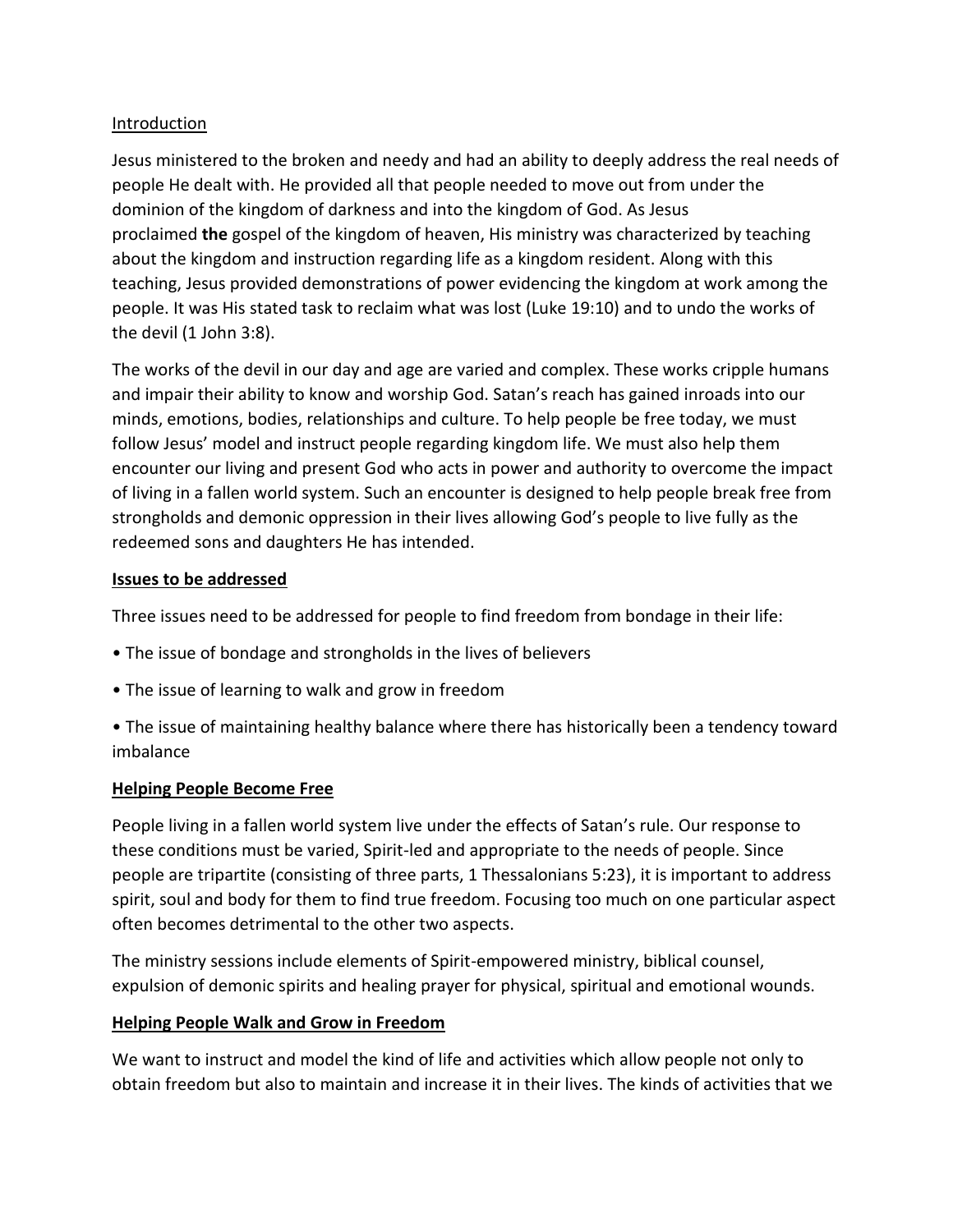## Introduction

Jesus ministered to the broken and needy and had an ability to deeply address the real needs of people He dealt with. He provided all that people needed to move out from under the dominion of the kingdom of darkness and into the kingdom of God. As Jesus proclaimed **the** gospel of the kingdom of heaven, His ministry was characterized by teaching about the kingdom and instruction regarding life as a kingdom resident. Along with this teaching, Jesus provided demonstrations of power evidencing the kingdom at work among the people. It was His stated task to reclaim what was lost (Luke 19:10) and to undo the works of the devil (1 John 3:8).

The works of the devil in our day and age are varied and complex. These works cripple humans and impair their ability to know and worship God. Satan's reach has gained inroads into our minds, emotions, bodies, relationships and culture. To help people be free today, we must follow Jesus' model and instruct people regarding kingdom life. We must also help them encounter our living and present God who acts in power and authority to overcome the impact of living in a fallen world system. Such an encounter is designed to help people break free from strongholds and demonic oppression in their lives allowing God's people to live fully as the redeemed sons and daughters He has intended.

## **Issues to be addressed**

Three issues need to be addressed for people to find freedom from bondage in their life:

- The issue of bondage and strongholds in the lives of believers
- The issue of learning to walk and grow in freedom
- The issue of maintaining healthy balance where there has historically been a tendency toward imbalance

## **Helping People Become Free**

People living in a fallen world system live under the effects of Satan's rule. Our response to these conditions must be varied, Spirit-led and appropriate to the needs of people. Since people are tripartite (consisting of three parts, 1 Thessalonians 5:23), it is important to address spirit, soul and body for them to find true freedom. Focusing too much on one particular aspect often becomes detrimental to the other two aspects.

The ministry sessions include elements of Spirit-empowered ministry, biblical counsel, expulsion of demonic spirits and healing prayer for physical, spiritual and emotional wounds.

## **Helping People Walk and Grow in Freedom**

We want to instruct and model the kind of life and activities which allow people not only to obtain freedom but also to maintain and increase it in their lives. The kinds of activities that we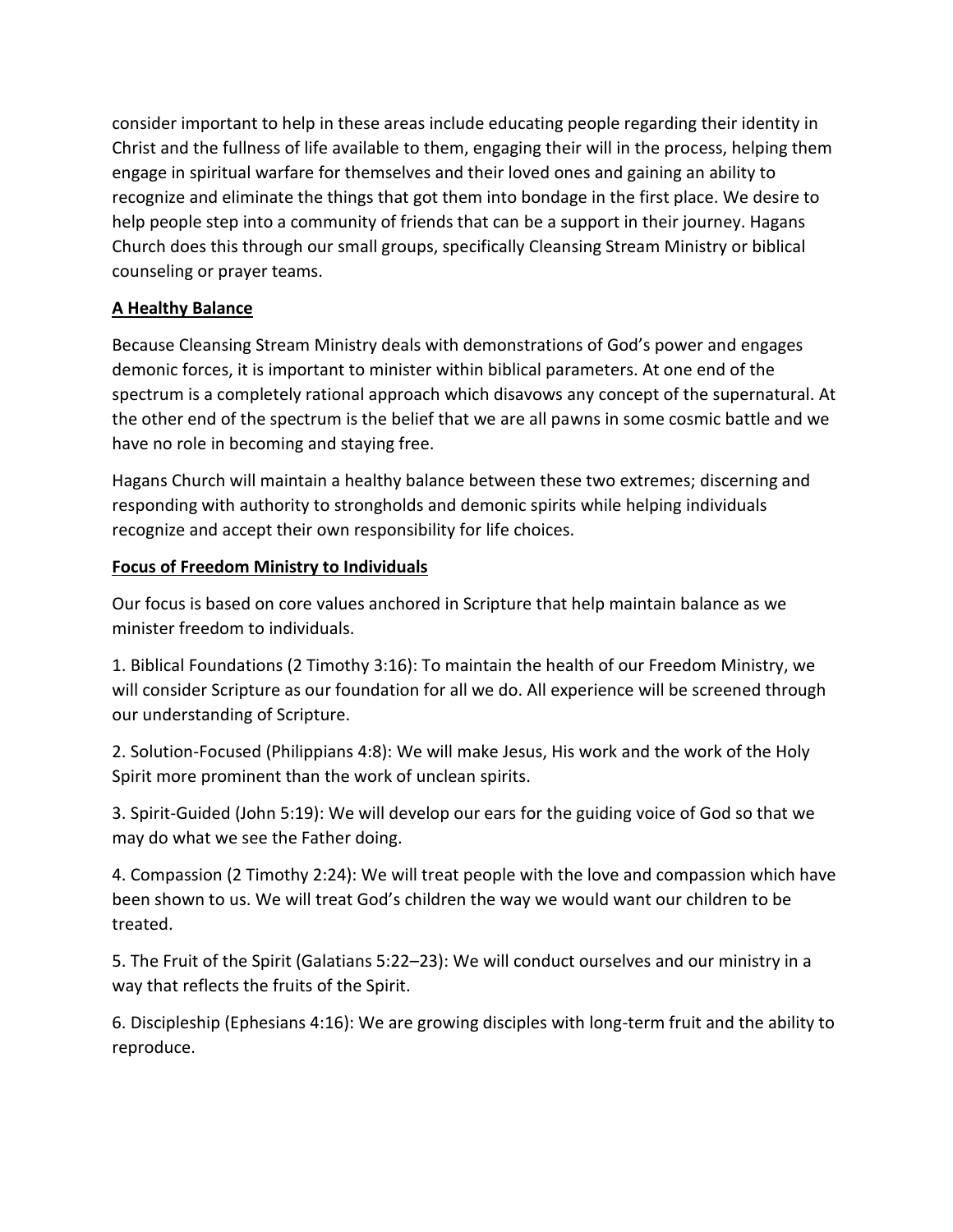consider important to help in these areas include educating people regarding their identity in Christ and the fullness of life available to them, engaging their will in the process, helping them engage in spiritual warfare for themselves and their loved ones and gaining an ability to recognize and eliminate the things that got them into bondage in the first place. We desire to help people step into a community of friends that can be a support in their journey. Hagans Church does this through our small groups, specifically Cleansing Stream Ministry or biblical counseling or prayer teams.

## **A Healthy Balance**

Because Cleansing Stream Ministry deals with demonstrations of God's power and engages demonic forces, it is important to minister within biblical parameters. At one end of the spectrum is a completely rational approach which disavows any concept of the supernatural. At the other end of the spectrum is the belief that we are all pawns in some cosmic battle and we have no role in becoming and staying free.

Hagans Church will maintain a healthy balance between these two extremes; discerning and responding with authority to strongholds and demonic spirits while helping individuals recognize and accept their own responsibility for life choices.

## **Focus of Freedom Ministry to Individuals**

Our focus is based on core values anchored in Scripture that help maintain balance as we minister freedom to individuals.

1. Biblical Foundations (2 Timothy 3:16): To maintain the health of our Freedom Ministry, we will consider Scripture as our foundation for all we do. All experience will be screened through our understanding of Scripture.

2. Solution-Focused (Philippians 4:8): We will make Jesus, His work and the work of the Holy Spirit more prominent than the work of unclean spirits.

3. Spirit-Guided (John 5:19): We will develop our ears for the guiding voice of God so that we may do what we see the Father doing.

4. Compassion (2 Timothy 2:24): We will treat people with the love and compassion which have been shown to us. We will treat God's children the way we would want our children to be treated.

5. The Fruit of the Spirit (Galatians 5:22–23): We will conduct ourselves and our ministry in a way that reflects the fruits of the Spirit.

6. Discipleship (Ephesians 4:16): We are growing disciples with long-term fruit and the ability to reproduce.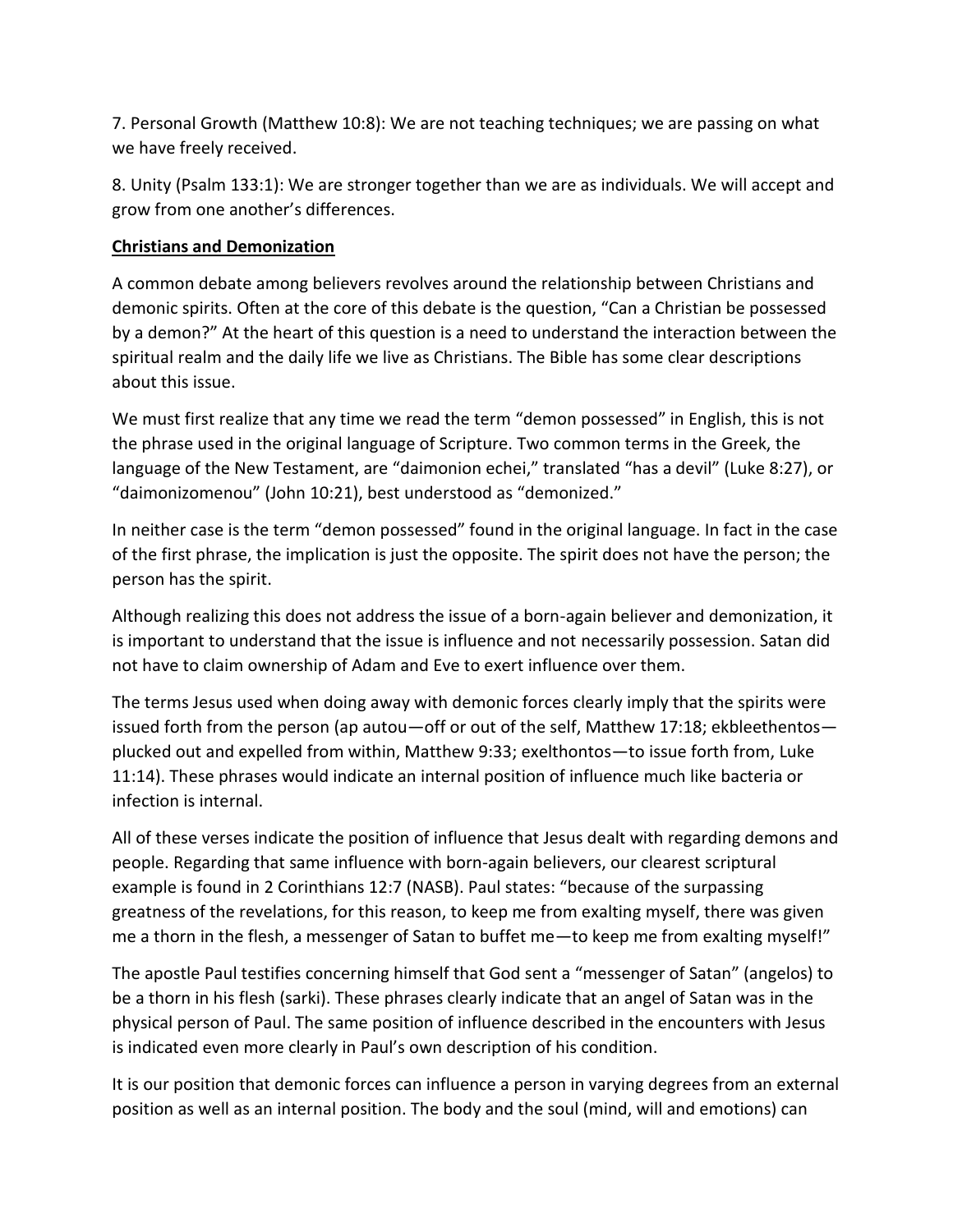7. Personal Growth (Matthew 10:8): We are not teaching techniques; we are passing on what we have freely received.

8. Unity (Psalm 133:1): We are stronger together than we are as individuals. We will accept and grow from one another's differences.

## **Christians and Demonization**

A common debate among believers revolves around the relationship between Christians and demonic spirits. Often at the core of this debate is the question, "Can a Christian be possessed by a demon?" At the heart of this question is a need to understand the interaction between the spiritual realm and the daily life we live as Christians. The Bible has some clear descriptions about this issue.

We must first realize that any time we read the term "demon possessed" in English, this is not the phrase used in the original language of Scripture. Two common terms in the Greek, the language of the New Testament, are "daimonion echei," translated "has a devil" (Luke 8:27), or "daimonizomenou" (John 10:21), best understood as "demonized."

In neither case is the term "demon possessed" found in the original language. In fact in the case of the first phrase, the implication is just the opposite. The spirit does not have the person; the person has the spirit.

Although realizing this does not address the issue of a born-again believer and demonization, it is important to understand that the issue is influence and not necessarily possession. Satan did not have to claim ownership of Adam and Eve to exert influence over them.

The terms Jesus used when doing away with demonic forces clearly imply that the spirits were issued forth from the person (ap autou—off or out of the self, Matthew 17:18; ekbleethentos plucked out and expelled from within, Matthew 9:33; exelthontos—to issue forth from, Luke 11:14). These phrases would indicate an internal position of influence much like bacteria or infection is internal.

All of these verses indicate the position of influence that Jesus dealt with regarding demons and people. Regarding that same influence with born-again believers, our clearest scriptural example is found in 2 Corinthians 12:7 (NASB). Paul states: "because of the surpassing greatness of the revelations, for this reason, to keep me from exalting myself, there was given me a thorn in the flesh, a messenger of Satan to buffet me—to keep me from exalting myself!"

The apostle Paul testifies concerning himself that God sent a "messenger of Satan" (angelos) to be a thorn in his flesh (sarki). These phrases clearly indicate that an angel of Satan was in the physical person of Paul. The same position of influence described in the encounters with Jesus is indicated even more clearly in Paul's own description of his condition.

It is our position that demonic forces can influence a person in varying degrees from an external position as well as an internal position. The body and the soul (mind, will and emotions) can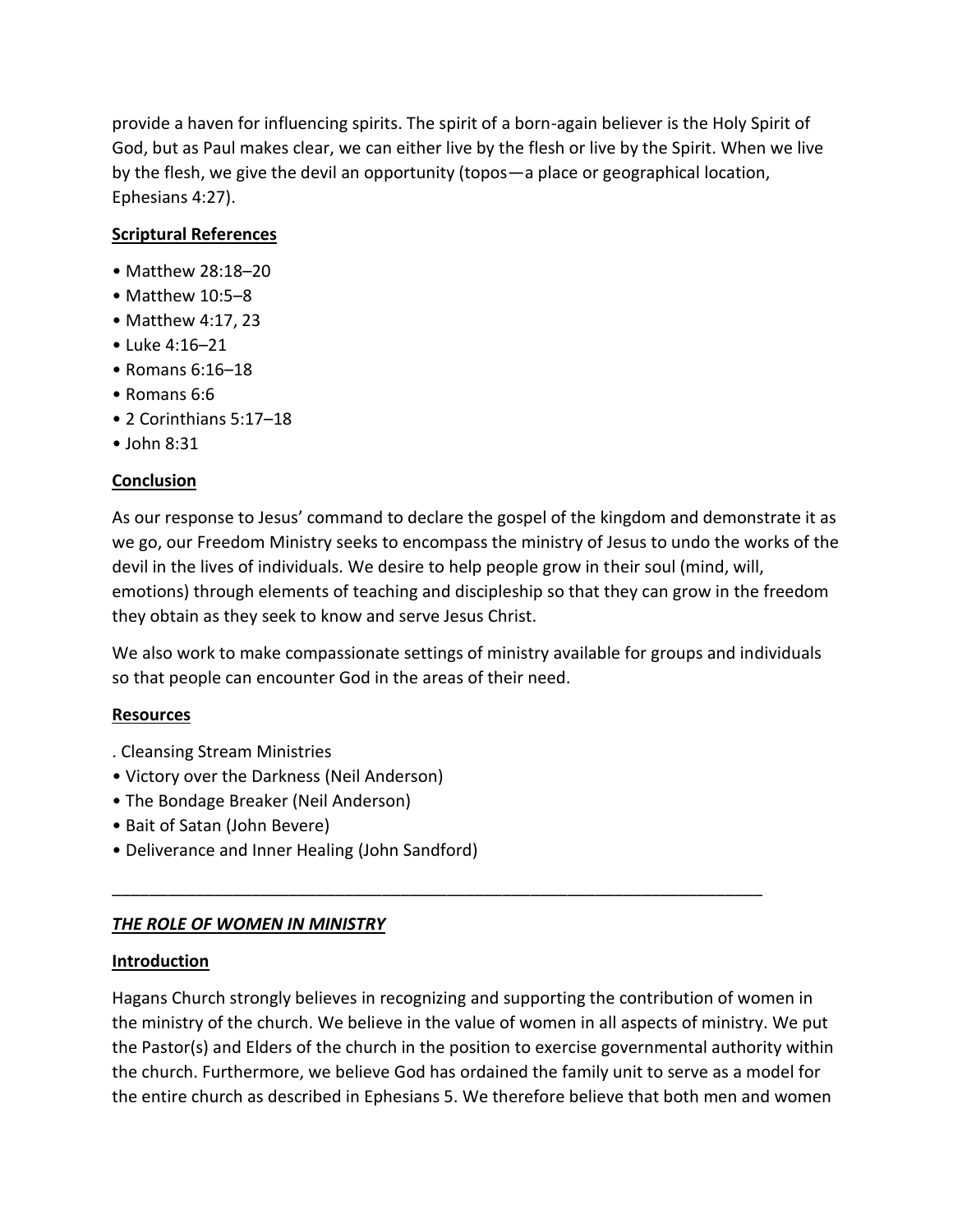provide a haven for influencing spirits. The spirit of a born-again believer is the Holy Spirit of God, but as Paul makes clear, we can either live by the flesh or live by the Spirit. When we live by the flesh, we give the devil an opportunity (topos—a place or geographical location, Ephesians 4:27).

# **Scriptural References**

- Matthew 28:18–20
- Matthew 10:5–8
- Matthew 4:17, 23
- Luke 4:16–21
- Romans 6:16–18
- Romans 6:6
- 2 Corinthians 5:17–18
- John 8:31

## **Conclusion**

As our response to Jesus' command to declare the gospel of the kingdom and demonstrate it as we go, our Freedom Ministry seeks to encompass the ministry of Jesus to undo the works of the devil in the lives of individuals. We desire to help people grow in their soul (mind, will, emotions) through elements of teaching and discipleship so that they can grow in the freedom they obtain as they seek to know and serve Jesus Christ.

We also work to make compassionate settings of ministry available for groups and individuals so that people can encounter God in the areas of their need.

## **Resources**

- . Cleansing Stream Ministries
- Victory over the Darkness (Neil Anderson)
- The Bondage Breaker (Neil Anderson)
- Bait of Satan (John Bevere)
- Deliverance and Inner Healing (John Sandford)

# *THE ROLE OF WOMEN IN MINISTRY*

## **Introduction**

Hagans Church strongly believes in recognizing and supporting the contribution of women in the ministry of the church. We believe in the value of women in all aspects of ministry. We put the Pastor(s) and Elders of the church in the position to exercise governmental authority within the church. Furthermore, we believe God has ordained the family unit to serve as a model for the entire church as described in Ephesians 5. We therefore believe that both men and women

\_\_\_\_\_\_\_\_\_\_\_\_\_\_\_\_\_\_\_\_\_\_\_\_\_\_\_\_\_\_\_\_\_\_\_\_\_\_\_\_\_\_\_\_\_\_\_\_\_\_\_\_\_\_\_\_\_\_\_\_\_\_\_\_\_\_\_\_\_\_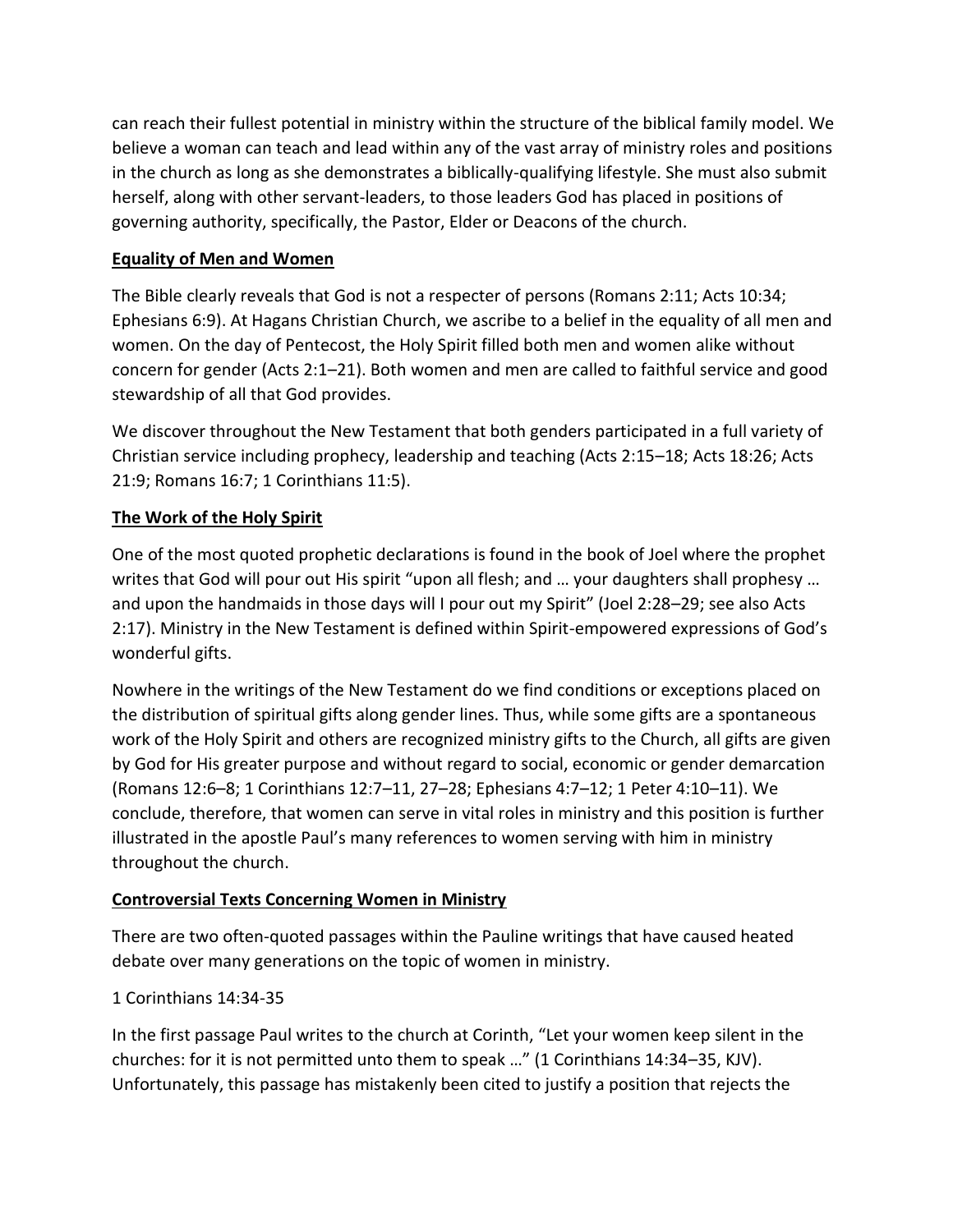can reach their fullest potential in ministry within the structure of the biblical family model. We believe a woman can teach and lead within any of the vast array of ministry roles and positions in the church as long as she demonstrates a biblically-qualifying lifestyle. She must also submit herself, along with other servant-leaders, to those leaders God has placed in positions of governing authority, specifically, the Pastor, Elder or Deacons of the church.

## **Equality of Men and Women**

The Bible clearly reveals that God is not a respecter of persons (Romans 2:11; Acts 10:34; Ephesians 6:9). At Hagans Christian Church, we ascribe to a belief in the equality of all men and women. On the day of Pentecost, the Holy Spirit filled both men and women alike without concern for gender (Acts 2:1–21). Both women and men are called to faithful service and good stewardship of all that God provides.

We discover throughout the New Testament that both genders participated in a full variety of Christian service including prophecy, leadership and teaching (Acts 2:15–18; Acts 18:26; Acts 21:9; Romans 16:7; 1 Corinthians 11:5).

## **The Work of the Holy Spirit**

One of the most quoted prophetic declarations is found in the book of Joel where the prophet writes that God will pour out His spirit "upon all flesh; and ... your daughters shall prophesy ... and upon the handmaids in those days will I pour out my Spirit" (Joel 2:28–29; see also Acts 2:17). Ministry in the New Testament is defined within Spirit-empowered expressions of God's wonderful gifts.

Nowhere in the writings of the New Testament do we find conditions or exceptions placed on the distribution of spiritual gifts along gender lines. Thus, while some gifts are a spontaneous work of the Holy Spirit and others are recognized ministry gifts to the Church, all gifts are given by God for His greater purpose and without regard to social, economic or gender demarcation (Romans 12:6–8; 1 Corinthians 12:7–11, 27–28; Ephesians 4:7–12; 1 Peter 4:10–11). We conclude, therefore, that women can serve in vital roles in ministry and this position is further illustrated in the apostle Paul's many references to women serving with him in ministry throughout the church.

## **Controversial Texts Concerning Women in Ministry**

There are two often-quoted passages within the Pauline writings that have caused heated debate over many generations on the topic of women in ministry.

## 1 Corinthians 14:34-35

In the first passage Paul writes to the church at Corinth, "Let your women keep silent in the churches: for it is not permitted unto them to speak …" (1 Corinthians 14:34–35, KJV). Unfortunately, this passage has mistakenly been cited to justify a position that rejects the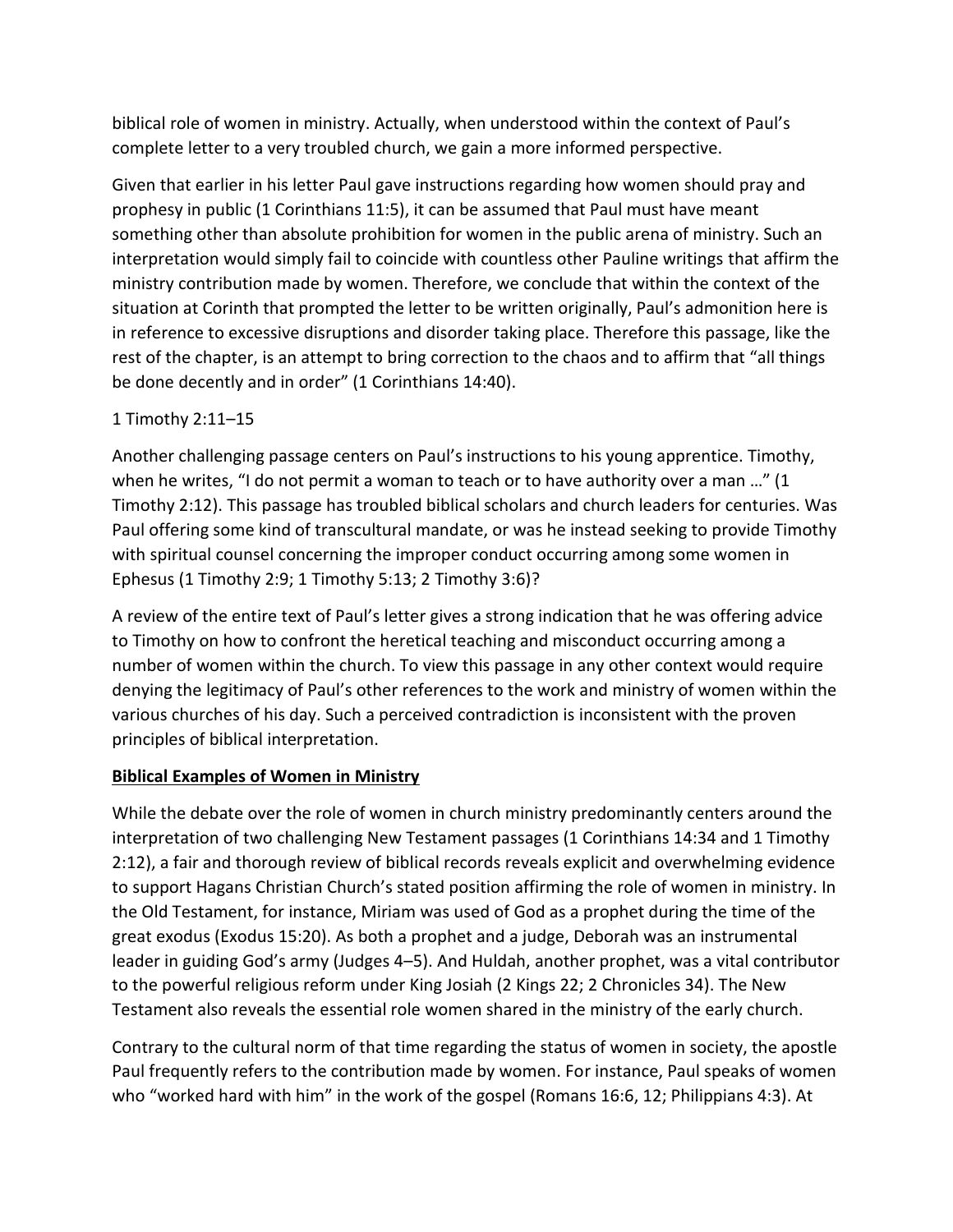biblical role of women in ministry. Actually, when understood within the context of Paul's complete letter to a very troubled church, we gain a more informed perspective.

Given that earlier in his letter Paul gave instructions regarding how women should pray and prophesy in public (1 Corinthians 11:5), it can be assumed that Paul must have meant something other than absolute prohibition for women in the public arena of ministry. Such an interpretation would simply fail to coincide with countless other Pauline writings that affirm the ministry contribution made by women. Therefore, we conclude that within the context of the situation at Corinth that prompted the letter to be written originally, Paul's admonition here is in reference to excessive disruptions and disorder taking place. Therefore this passage, like the rest of the chapter, is an attempt to bring correction to the chaos and to affirm that "all things be done decently and in order" (1 Corinthians 14:40).

# 1 Timothy 2:11–15

Another challenging passage centers on Paul's instructions to his young apprentice. Timothy, when he writes, "I do not permit a woman to teach or to have authority over a man …" (1 Timothy 2:12). This passage has troubled biblical scholars and church leaders for centuries. Was Paul offering some kind of transcultural mandate, or was he instead seeking to provide Timothy with spiritual counsel concerning the improper conduct occurring among some women in Ephesus (1 Timothy 2:9; 1 Timothy 5:13; 2 Timothy 3:6)?

A review of the entire text of Paul's letter gives a strong indication that he was offering advice to Timothy on how to confront the heretical teaching and misconduct occurring among a number of women within the church. To view this passage in any other context would require denying the legitimacy of Paul's other references to the work and ministry of women within the various churches of his day. Such a perceived contradiction is inconsistent with the proven principles of biblical interpretation.

## **Biblical Examples of Women in Ministry**

While the debate over the role of women in church ministry predominantly centers around the interpretation of two challenging New Testament passages (1 Corinthians 14:34 and 1 Timothy 2:12), a fair and thorough review of biblical records reveals explicit and overwhelming evidence to support Hagans Christian Church's stated position affirming the role of women in ministry. In the Old Testament, for instance, Miriam was used of God as a prophet during the time of the great exodus (Exodus 15:20). As both a prophet and a judge, Deborah was an instrumental leader in guiding God's army (Judges 4–5). And Huldah, another prophet, was a vital contributor to the powerful religious reform under King Josiah (2 Kings 22; 2 Chronicles 34). The New Testament also reveals the essential role women shared in the ministry of the early church.

Contrary to the cultural norm of that time regarding the status of women in society, the apostle Paul frequently refers to the contribution made by women. For instance, Paul speaks of women who "worked hard with him" in the work of the gospel (Romans 16:6, 12; Philippians 4:3). At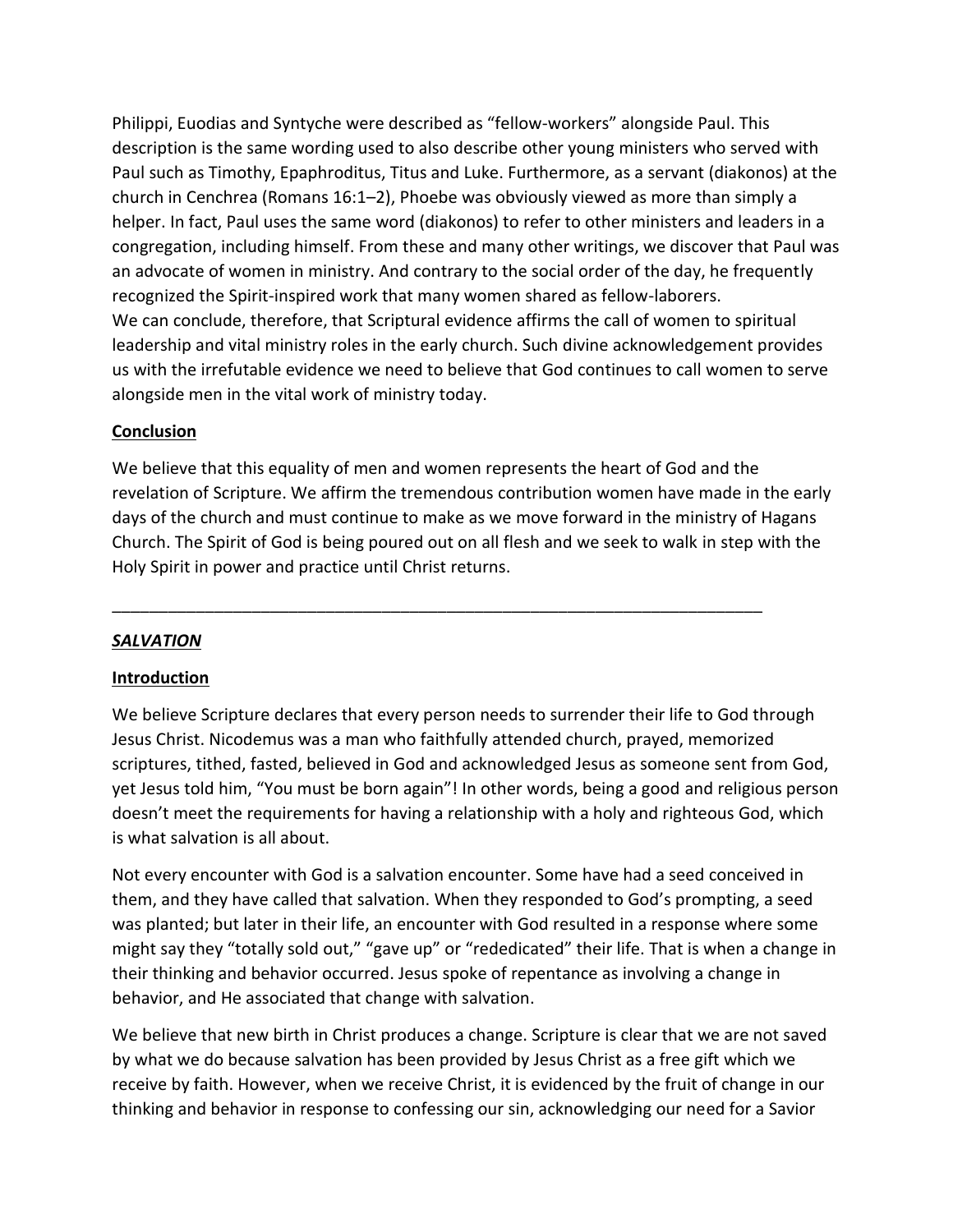Philippi, Euodias and Syntyche were described as "fellow-workers" alongside Paul. This description is the same wording used to also describe other young ministers who served with Paul such as Timothy, Epaphroditus, Titus and Luke. Furthermore, as a servant (diakonos) at the church in Cenchrea (Romans 16:1–2), Phoebe was obviously viewed as more than simply a helper. In fact, Paul uses the same word (diakonos) to refer to other ministers and leaders in a congregation, including himself. From these and many other writings, we discover that Paul was an advocate of women in ministry. And contrary to the social order of the day, he frequently recognized the Spirit-inspired work that many women shared as fellow-laborers. We can conclude, therefore, that Scriptural evidence affirms the call of women to spiritual leadership and vital ministry roles in the early church. Such divine acknowledgement provides us with the irrefutable evidence we need to believe that God continues to call women to serve alongside men in the vital work of ministry today.

## **Conclusion**

We believe that this equality of men and women represents the heart of God and the revelation of Scripture. We affirm the tremendous contribution women have made in the early days of the church and must continue to make as we move forward in the ministry of Hagans Church. The Spirit of God is being poured out on all flesh and we seek to walk in step with the Holy Spirit in power and practice until Christ returns.

\_\_\_\_\_\_\_\_\_\_\_\_\_\_\_\_\_\_\_\_\_\_\_\_\_\_\_\_\_\_\_\_\_\_\_\_\_\_\_\_\_\_\_\_\_\_\_\_\_\_\_\_\_\_\_\_\_\_\_\_\_\_\_\_\_\_\_\_\_\_

# *SALVATION*

## **Introduction**

We believe Scripture declares that every person needs to surrender their life to God through Jesus Christ. Nicodemus was a man who faithfully attended church, prayed, memorized scriptures, tithed, fasted, believed in God and acknowledged Jesus as someone sent from God, yet Jesus told him, "You must be born again"! In other words, being a good and religious person doesn't meet the requirements for having a relationship with a holy and righteous God, which is what salvation is all about.

Not every encounter with God is a salvation encounter. Some have had a seed conceived in them, and they have called that salvation. When they responded to God's prompting, a seed was planted; but later in their life, an encounter with God resulted in a response where some might say they "totally sold out," "gave up" or "rededicated" their life. That is when a change in their thinking and behavior occurred. Jesus spoke of repentance as involving a change in behavior, and He associated that change with salvation.

We believe that new birth in Christ produces a change. Scripture is clear that we are not saved by what we do because salvation has been provided by Jesus Christ as a free gift which we receive by faith. However, when we receive Christ, it is evidenced by the fruit of change in our thinking and behavior in response to confessing our sin, acknowledging our need for a Savior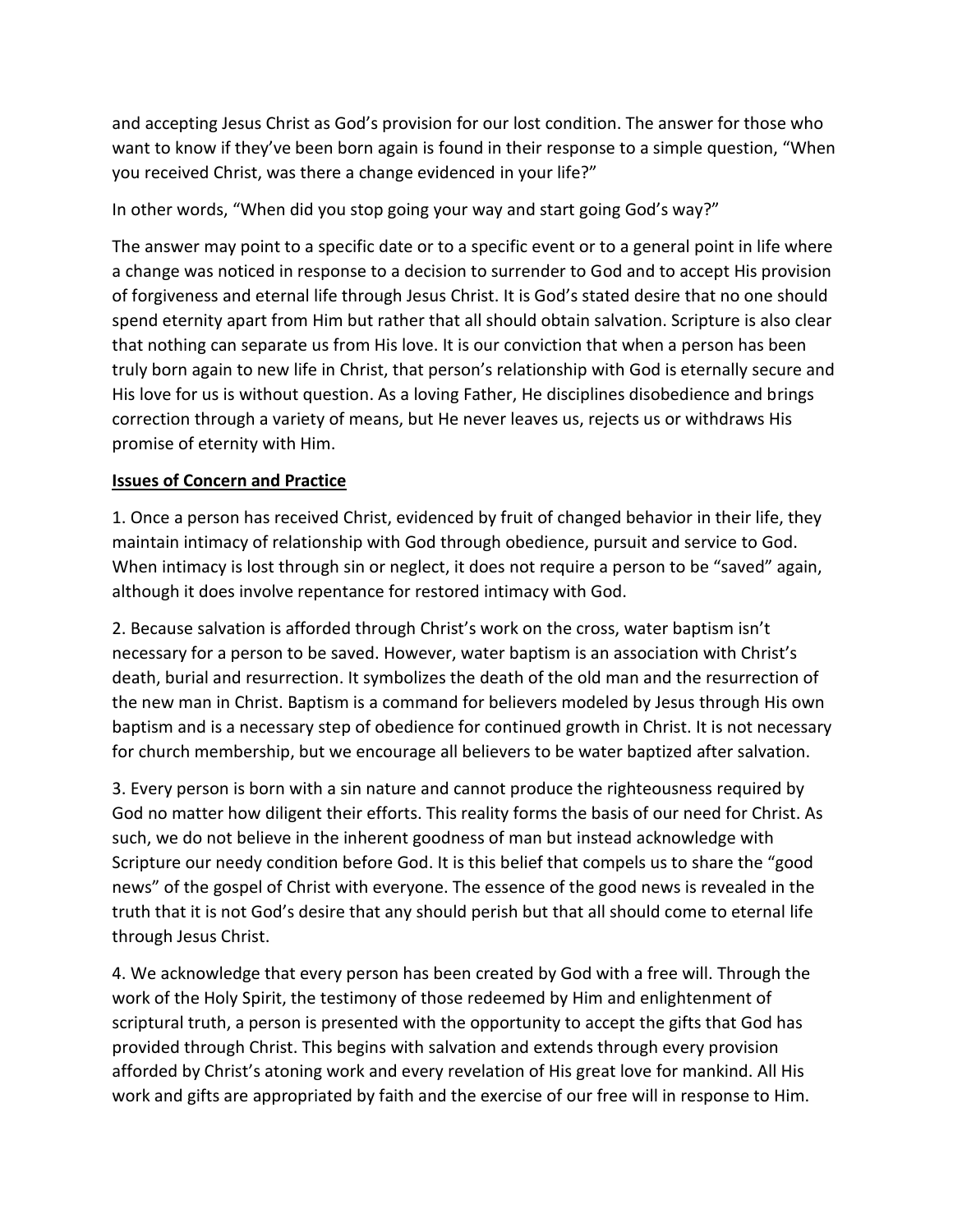and accepting Jesus Christ as God's provision for our lost condition. The answer for those who want to know if they've been born again is found in their response to a simple question, "When you received Christ, was there a change evidenced in your life?"

In other words, "When did you stop going your way and start going God's way?"

The answer may point to a specific date or to a specific event or to a general point in life where a change was noticed in response to a decision to surrender to God and to accept His provision of forgiveness and eternal life through Jesus Christ. It is God's stated desire that no one should spend eternity apart from Him but rather that all should obtain salvation. Scripture is also clear that nothing can separate us from His love. It is our conviction that when a person has been truly born again to new life in Christ, that person's relationship with God is eternally secure and His love for us is without question. As a loving Father, He disciplines disobedience and brings correction through a variety of means, but He never leaves us, rejects us or withdraws His promise of eternity with Him.

## **Issues of Concern and Practice**

1. Once a person has received Christ, evidenced by fruit of changed behavior in their life, they maintain intimacy of relationship with God through obedience, pursuit and service to God. When intimacy is lost through sin or neglect, it does not require a person to be "saved" again, although it does involve repentance for restored intimacy with God.

2. Because salvation is afforded through Christ's work on the cross, water baptism isn't necessary for a person to be saved. However, water baptism is an association with Christ's death, burial and resurrection. It symbolizes the death of the old man and the resurrection of the new man in Christ. Baptism is a command for believers modeled by Jesus through His own baptism and is a necessary step of obedience for continued growth in Christ. It is not necessary for church membership, but we encourage all believers to be water baptized after salvation.

3. Every person is born with a sin nature and cannot produce the righteousness required by God no matter how diligent their efforts. This reality forms the basis of our need for Christ. As such, we do not believe in the inherent goodness of man but instead acknowledge with Scripture our needy condition before God. It is this belief that compels us to share the "good news" of the gospel of Christ with everyone. The essence of the good news is revealed in the truth that it is not God's desire that any should perish but that all should come to eternal life through Jesus Christ.

4. We acknowledge that every person has been created by God with a free will. Through the work of the Holy Spirit, the testimony of those redeemed by Him and enlightenment of scriptural truth, a person is presented with the opportunity to accept the gifts that God has provided through Christ. This begins with salvation and extends through every provision afforded by Christ's atoning work and every revelation of His great love for mankind. All His work and gifts are appropriated by faith and the exercise of our free will in response to Him.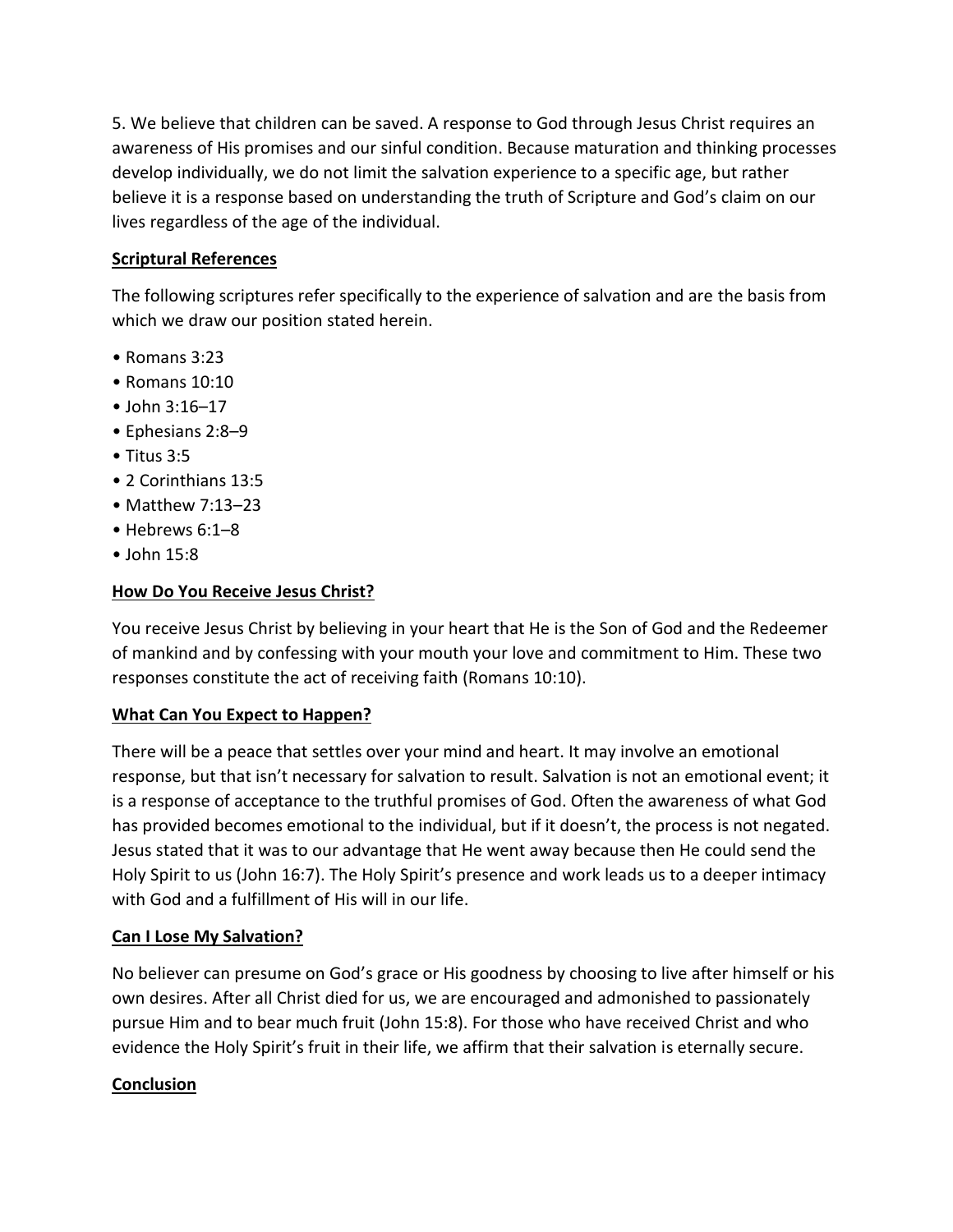5. We believe that children can be saved. A response to God through Jesus Christ requires an awareness of His promises and our sinful condition. Because maturation and thinking processes develop individually, we do not limit the salvation experience to a specific age, but rather believe it is a response based on understanding the truth of Scripture and God's claim on our lives regardless of the age of the individual.

## **Scriptural References**

The following scriptures refer specifically to the experience of salvation and are the basis from which we draw our position stated herein.

- Romans 3:23
- Romans 10:10
- John 3:16–17
- Ephesians 2:8–9
- Titus 3:5
- 2 Corinthians 13:5
- Matthew 7:13–23
- Hebrews 6:1–8
- John 15:8

## **How Do You Receive Jesus Christ?**

You receive Jesus Christ by believing in your heart that He is the Son of God and the Redeemer of mankind and by confessing with your mouth your love and commitment to Him. These two responses constitute the act of receiving faith (Romans 10:10).

## **What Can You Expect to Happen?**

There will be a peace that settles over your mind and heart. It may involve an emotional response, but that isn't necessary for salvation to result. Salvation is not an emotional event; it is a response of acceptance to the truthful promises of God. Often the awareness of what God has provided becomes emotional to the individual, but if it doesn't, the process is not negated. Jesus stated that it was to our advantage that He went away because then He could send the Holy Spirit to us (John 16:7). The Holy Spirit's presence and work leads us to a deeper intimacy with God and a fulfillment of His will in our life.

## **Can I Lose My Salvation?**

No believer can presume on God's grace or His goodness by choosing to live after himself or his own desires. After all Christ died for us, we are encouraged and admonished to passionately pursue Him and to bear much fruit (John 15:8). For those who have received Christ and who evidence the Holy Spirit's fruit in their life, we affirm that their salvation is eternally secure.

## **Conclusion**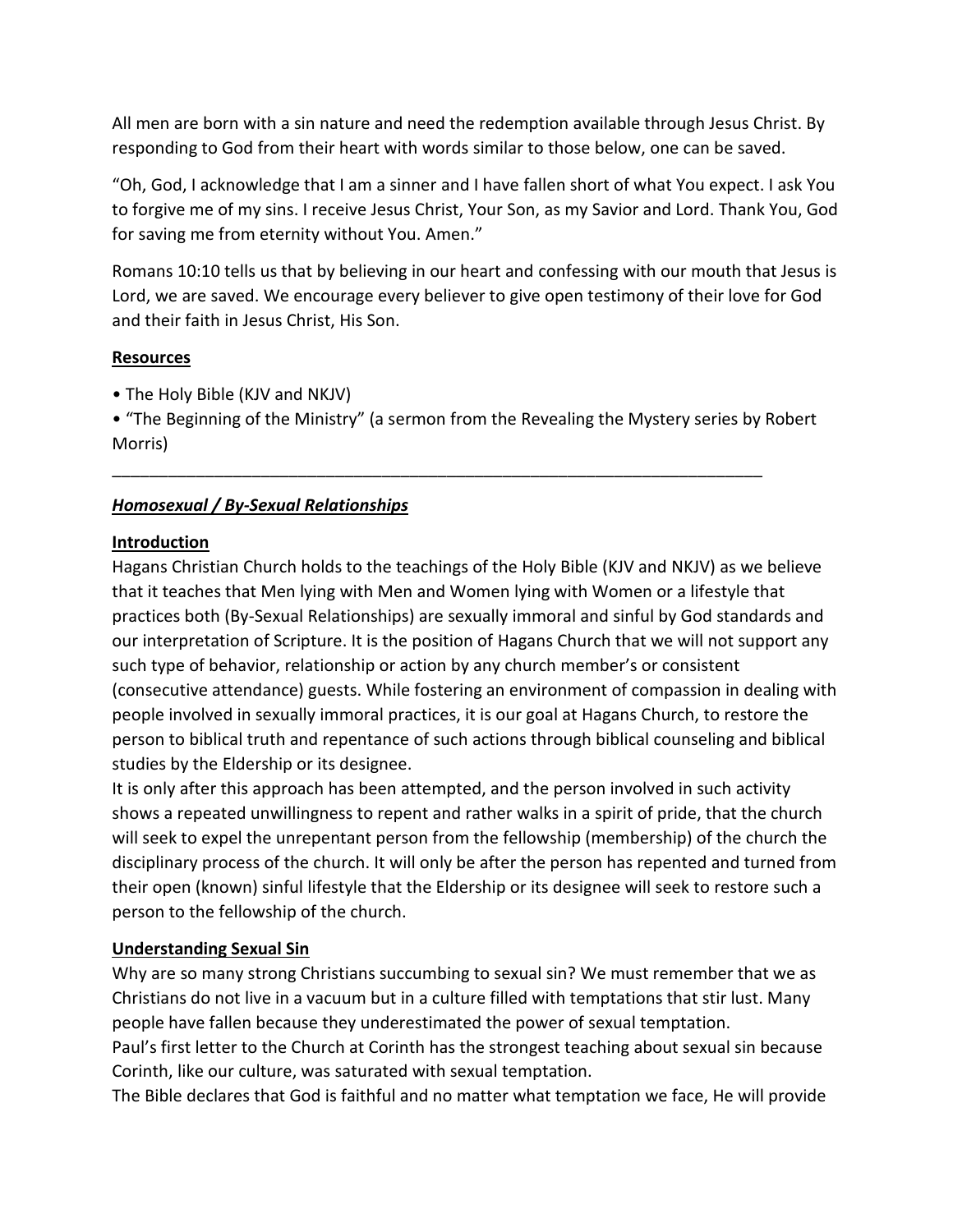All men are born with a sin nature and need the redemption available through Jesus Christ. By responding to God from their heart with words similar to those below, one can be saved.

"Oh, God, I acknowledge that I am a sinner and I have fallen short of what You expect. I ask You to forgive me of my sins. I receive Jesus Christ, Your Son, as my Savior and Lord. Thank You, God for saving me from eternity without You. Amen."

Romans 10:10 tells us that by believing in our heart and confessing with our mouth that Jesus is Lord, we are saved. We encourage every believer to give open testimony of their love for God and their faith in Jesus Christ, His Son.

## **Resources**

• The Holy Bible (KJV and NKJV)

• "The Beginning of the Ministry" (a sermon from the Revealing the Mystery series by Robert Morris)

\_\_\_\_\_\_\_\_\_\_\_\_\_\_\_\_\_\_\_\_\_\_\_\_\_\_\_\_\_\_\_\_\_\_\_\_\_\_\_\_\_\_\_\_\_\_\_\_\_\_\_\_\_\_\_\_\_\_\_\_\_\_\_\_\_\_\_\_\_\_

## *Homosexual / By-Sexual Relationships*

## **Introduction**

Hagans Christian Church holds to the teachings of the Holy Bible (KJV and NKJV) as we believe that it teaches that Men lying with Men and Women lying with Women or a lifestyle that practices both (By-Sexual Relationships) are sexually immoral and sinful by God standards and our interpretation of Scripture. It is the position of Hagans Church that we will not support any such type of behavior, relationship or action by any church member's or consistent (consecutive attendance) guests. While fostering an environment of compassion in dealing with people involved in sexually immoral practices, it is our goal at Hagans Church, to restore the person to biblical truth and repentance of such actions through biblical counseling and biblical studies by the Eldership or its designee.

It is only after this approach has been attempted, and the person involved in such activity shows a repeated unwillingness to repent and rather walks in a spirit of pride, that the church will seek to expel the unrepentant person from the fellowship (membership) of the church the disciplinary process of the church. It will only be after the person has repented and turned from their open (known) sinful lifestyle that the Eldership or its designee will seek to restore such a person to the fellowship of the church.

## **Understanding Sexual Sin**

Why are so many strong Christians succumbing to sexual sin? We must remember that we as Christians do not live in a vacuum but in a culture filled with temptations that stir lust. Many people have fallen because they underestimated the power of sexual temptation.

Paul's first letter to the Church at Corinth has the strongest teaching about sexual sin because Corinth, like our culture, was saturated with sexual temptation.

The Bible declares that God is faithful and no matter what temptation we face, He will provide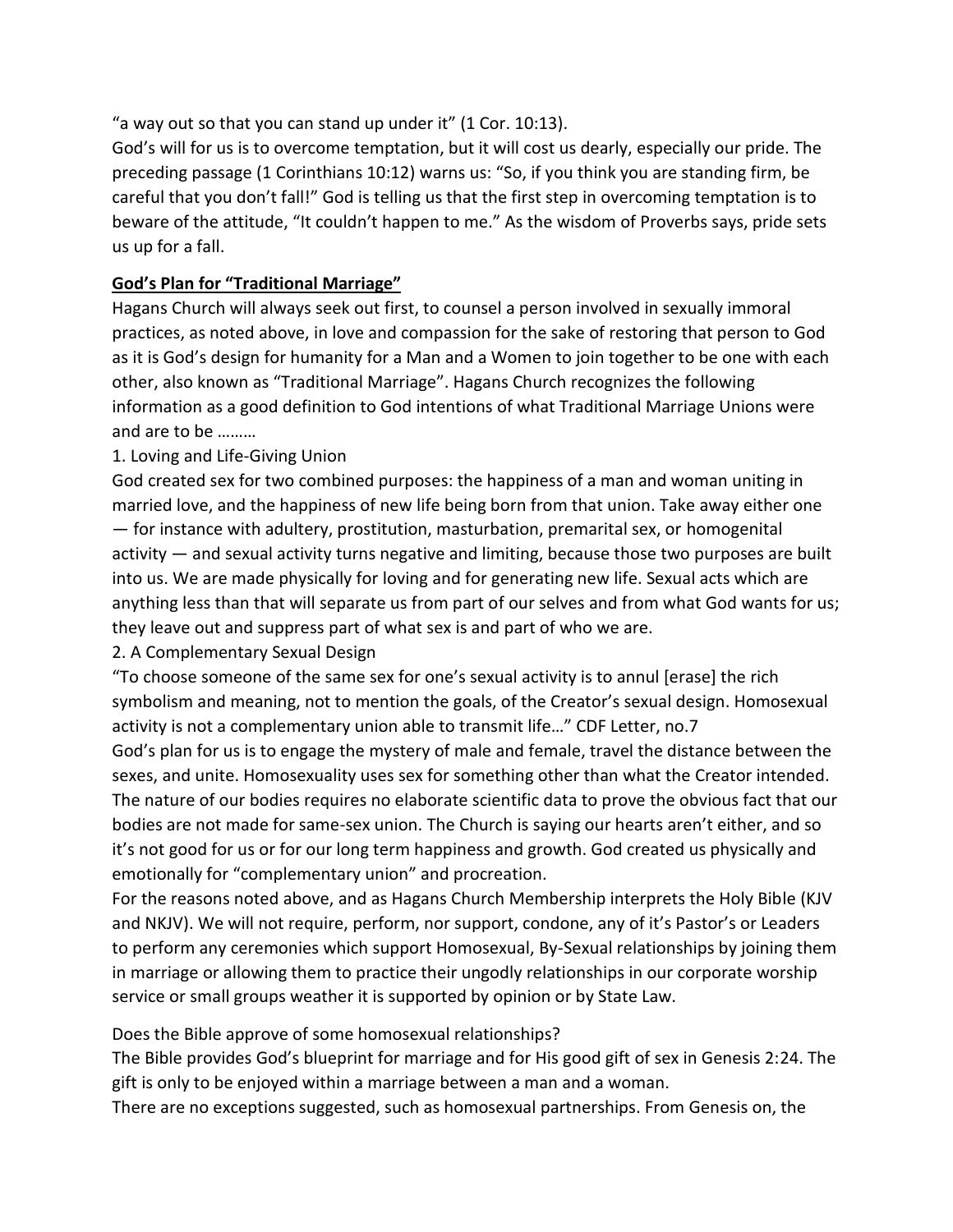"a way out so that you can stand up under it" (1 Cor. 10:13).

God's will for us is to overcome temptation, but it will cost us dearly, especially our pride. The preceding passage (1 Corinthians 10:12) warns us: "So, if you think you are standing firm, be careful that you don't fall!" God is telling us that the first step in overcoming temptation is to beware of the attitude, "It couldn't happen to me." As the wisdom of Proverbs says, pride sets us up for a fall.

# **God's Plan for "Traditional Marriage"**

Hagans Church will always seek out first, to counsel a person involved in sexually immoral practices, as noted above, in love and compassion for the sake of restoring that person to God as it is God's design for humanity for a Man and a Women to join together to be one with each other, also known as "Traditional Marriage". Hagans Church recognizes the following information as a good definition to God intentions of what Traditional Marriage Unions were and are to be ………

## 1. Loving and Life-Giving Union

God created sex for two combined purposes: the happiness of a man and woman uniting in married love, and the happiness of new life being born from that union. Take away either one — for instance with adultery, prostitution, masturbation, premarital sex, or homogenital activity — and sexual activity turns negative and limiting, because those two purposes are built into us. We are made physically for loving and for generating new life. Sexual acts which are anything less than that will separate us from part of our selves and from what God wants for us; they leave out and suppress part of what sex is and part of who we are.

## 2. A Complementary Sexual Design

"To choose someone of the same sex for one's sexual activity is to annul [erase] the rich symbolism and meaning, not to mention the goals, of the Creator's sexual design. Homosexual activity is not a complementary union able to transmit life…" CDF Letter, no.7

God's plan for us is to engage the mystery of male and female, travel the distance between the sexes, and unite. Homosexuality uses sex for something other than what the Creator intended. The nature of our bodies requires no elaborate scientific data to prove the obvious fact that our bodies are not made for same-sex union. The Church is saying our hearts aren't either, and so it's not good for us or for our long term happiness and growth. God created us physically and emotionally for "complementary union" and procreation.

For the reasons noted above, and as Hagans Church Membership interprets the Holy Bible (KJV and NKJV). We will not require, perform, nor support, condone, any of it's Pastor's or Leaders to perform any ceremonies which support Homosexual, By-Sexual relationships by joining them in marriage or allowing them to practice their ungodly relationships in our corporate worship service or small groups weather it is supported by opinion or by State Law.

Does the Bible approve of some homosexual relationships?

The Bible provides God's blueprint for marriage and for His good gift of sex in Genesis 2:24. The gift is only to be enjoyed within a marriage between a man and a woman.

There are no exceptions suggested, such as homosexual partnerships. From Genesis on, the